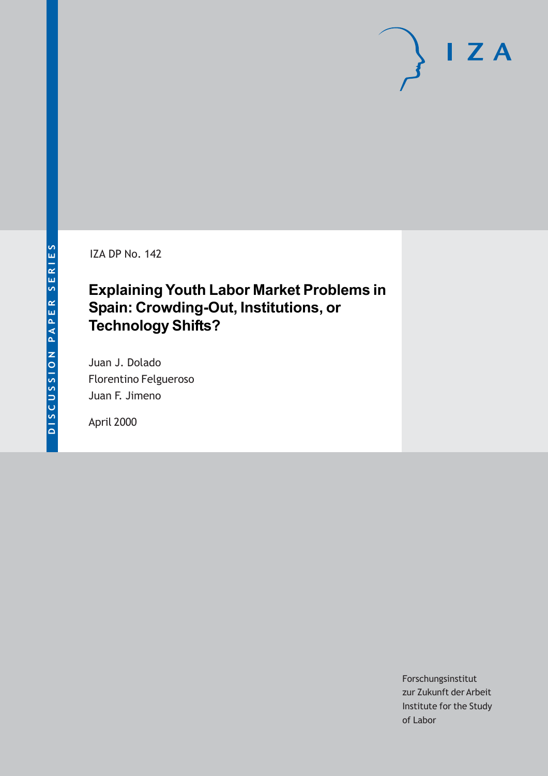IZA DP No. 142

# **Explaining Youth Labor Market Problems in Spain: Crowding-Out, Institutions, or Technology Shifts?**

Juan J. Dolado Florentino Felgueroso Juan F. Jimeno

April 2000

Forschungsinstitut zur Zukunft der Arbeit Institute for the Study of Labor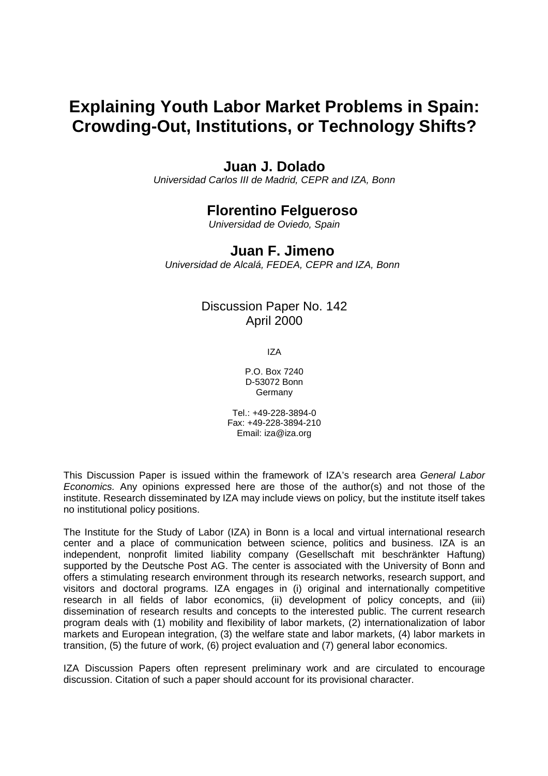# **Explaining Youth Labor Market Problems in Spain: Crowding-Out, Institutions, or Technology Shifts?**

# **Juan J. Dolado**

*Universidad Carlos III de Madrid, CEPR and IZA, Bonn* 

# **Florentino Felgueroso**

*Universidad de Oviedo, Spain* 

## **Juan F. Jimeno**

*Universidad de Alcalá, FEDEA, CEPR and IZA, Bonn* 

## Discussion Paper No. 142 April 2000

IZA

P.O. Box 7240 D-53072 Bonn Germany

Tel.: +49-228-3894-0 Fax: +49-228-3894-210 Email: iza@iza.org

This Discussion Paper is issued within the framework of IZA's research area *General Labor Economics.* Any opinions expressed here are those of the author(s) and not those of the institute. Research disseminated by IZA may include views on policy, but the institute itself takes no institutional policy positions.

The Institute for the Study of Labor (IZA) in Bonn is a local and virtual international research center and a place of communication between science, politics and business. IZA is an independent, nonprofit limited liability company (Gesellschaft mit beschränkter Haftung) supported by the Deutsche Post AG. The center is associated with the University of Bonn and offers a stimulating research environment through its research networks, research support, and visitors and doctoral programs. IZA engages in (i) original and internationally competitive research in all fields of labor economics, (ii) development of policy concepts, and (iii) dissemination of research results and concepts to the interested public. The current research program deals with (1) mobility and flexibility of labor markets, (2) internationalization of labor markets and European integration, (3) the welfare state and labor markets, (4) labor markets in transition, (5) the future of work, (6) project evaluation and (7) general labor economics.

IZA Discussion Papers often represent preliminary work and are circulated to encourage discussion. Citation of such a paper should account for its provisional character.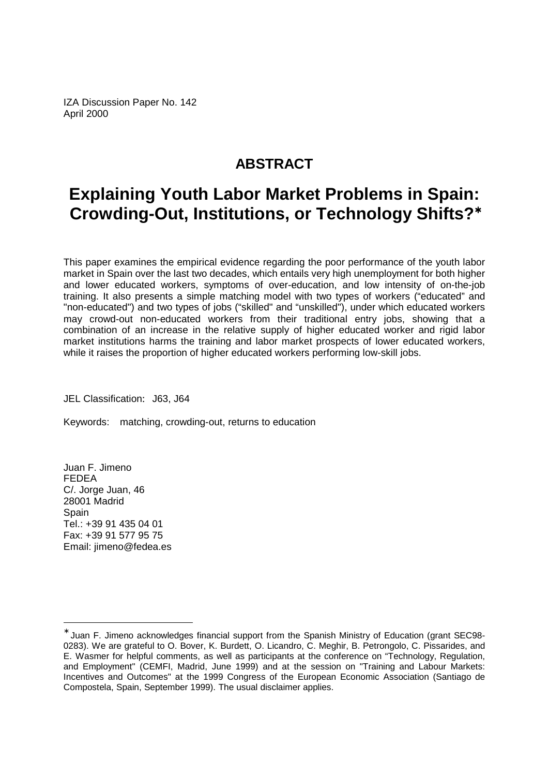IZA Discussion Paper No. 142 April 2000

# **ABSTRACT**

# **Explaining Youth Labor Market Problems in Spain: Crowding-Out, Institutions, or Technology Shifts?**<sup>∗</sup>

This paper examines the empirical evidence regarding the poor performance of the youth labor market in Spain over the last two decades, which entails very high unemployment for both higher and lower educated workers, symptoms of over-education, and low intensity of on-the-job training. It also presents a simple matching model with two types of workers ("educated" and "non-educated") and two types of jobs ("skilled" and "unskilled"), under which educated workers may crowd-out non-educated workers from their traditional entry jobs, showing that a combination of an increase in the relative supply of higher educated worker and rigid labor market institutions harms the training and labor market prospects of lower educated workers, while it raises the proportion of higher educated workers performing low-skill jobs.

JEL Classification: J63, J64

Keywords: matching, crowding-out, returns to education

Juan F. Jimeno FEDEA C/. Jorge Juan, 46 28001 Madrid **Spain** Tel.: +39 91 435 04 01 Fax: +39 91 577 95 75 Email: jimeno@fedea.es

Juan F. Jimeno acknowledges financial support from the Spanish Ministry of Education (grant SEC98-0283). We are grateful to O. Bover, K. Burdett, O. Licandro, C. Meghir, B. Petrongolo, C. Pissarides, and E. Wasmer for helpful comments, as well as participants at the conference on "Technology, Regulation, and Employment" (CEMFI, Madrid, June 1999) and at the session on "Training and Labour Markets: Incentives and Outcomes" at the 1999 Congress of the European Economic Association (Santiago de Compostela, Spain, September 1999). The usual disclaimer applies.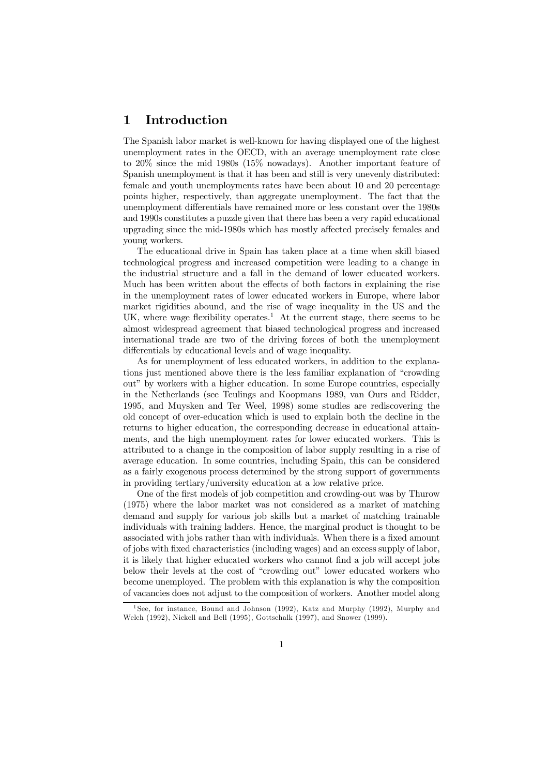### 1 Introduction

The Spanish labor market is well-known for having displayed one of the highest unemployment rates in the OECD, with an average unemployment rate close to 20% since the mid 1980s (15% nowadays). Another important feature of Spanish unemployment is that it has been and still is very unevenly distributed: female and youth unemployments rates have been about 10 and 20 percentage points higher, respectively, than aggregate unemployment. The fact that the unemployment differentials have remained more or less constant over the 1980s and 1990s constitutes a puzzle given that there has been a very rapid educational upgrading since the mid-1980s which has mostly affected precisely females and young workers.

The educational drive in Spain has taken place at a time when skill biased technological progress and increased competition were leading to a change in the industrial structure and a fall in the demand of lower educated workers. Much has been written about the effects of both factors in explaining the rise in the unemployment rates of lower educated workers in Europe, where labor market rigidities abound, and the rise of wage inequality in the US and the UK, where wage flexibility operates.<sup>1</sup> At the current stage, there seems to be almost widespread agreement that biased technological progress and increased international trade are two of the driving forces of both the unemployment differentials by educational levels and of wage inequality.

As for unemployment of less educated workers, in addition to the explanations just mentioned above there is the less familiar explanation of "crowding out" by workers with a higher education. In some Europe countries, especially in the Netherlands (see Teulings and Koopmans 1989, van Ours and Ridder, 1995, and Muysken and Ter Weel, 1998) some studies are rediscovering the old concept of over-education which is used to explain both the decline in the returns to higher education, the corresponding decrease in educational attainments, and the high unemployment rates for lower educated workers. This is attributed to a change in the composition of labor supply resulting in a rise of average education. In some countries, including Spain, this can be considered as a fairly exogenous process determined by the strong support of governments in providing tertiary/university education at a low relative price.

One of the first models of job competition and crowding-out was by Thurow (1975) where the labor market was not considered as a market of matching demand and supply for various job skills but a market of matching trainable individuals with training ladders. Hence, the marginal product is thought to be associated with jobs rather than with individuals. When there is a fixed amount of jobs with fixed characteristics (including wages) and an excess supply of labor, it is likely that higher educated workers who cannot find a job will accept jobs below their levels at the cost of "crowding out" lower educated workers who become unemployed. The problem with this explanation is why the composition of vacancies does not adjust to the composition of workers. Another model along

<sup>1</sup> See, for instance, Bound and Johnson (1992), Katz and Murphy (1992), Murphy and Welch (1992), Nickell and Bell (1995), Gottschalk (1997), and Snower (1999).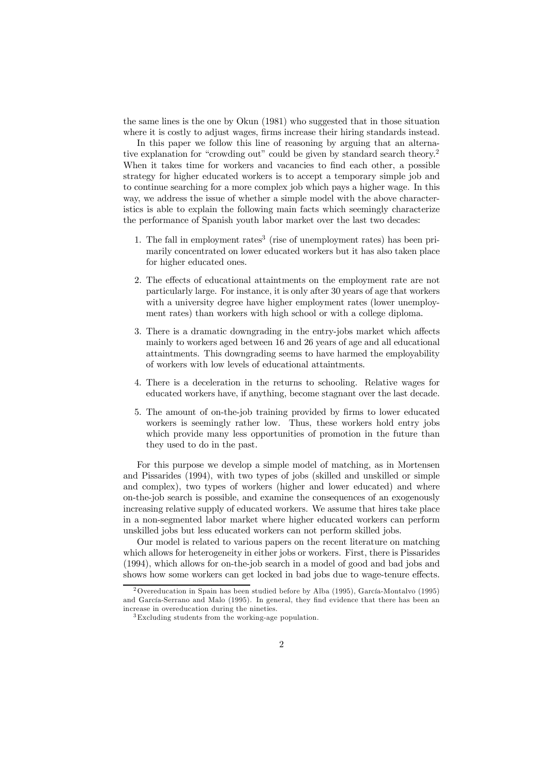the same lines is the one by Okun (1981) who suggested that in those situation where it is costly to adjust wages, firms increase their hiring standards instead.

In this paper we follow this line of reasoning by arguing that an alternative explanation for "crowding out" could be given by standard search theory.2 When it takes time for workers and vacancies to find each other, a possible strategy for higher educated workers is to accept a temporary simple job and to continue searching for a more complex job which pays a higher wage. In this way, we address the issue of whether a simple model with the above characteristics is able to explain the following main facts which seemingly characterize the performance of Spanish youth labor market over the last two decades:

- 1. The fall in employment rates<sup>3</sup> (rise of unemployment rates) has been primarily concentrated on lower educated workers but it has also taken place for higher educated ones.
- 2. The effects of educational attaintments on the employment rate are not particularly large. For instance, it is only after 30 years of age that workers with a university degree have higher employment rates (lower unemployment rates) than workers with high school or with a college diploma.
- 3. There is a dramatic downgrading in the entry-jobs market which affects mainly to workers aged between 16 and 26 years of age and all educational attaintments. This downgrading seems to have harmed the employability of workers with low levels of educational attaintments.
- 4. There is a deceleration in the returns to schooling. Relative wages for educated workers have, if anything, become stagnant over the last decade.
- 5. The amount of on-the-job training provided by firms to lower educated workers is seemingly rather low. Thus, these workers hold entry jobs which provide many less opportunities of promotion in the future than they used to do in the past.

For this purpose we develop a simple model of matching, as in Mortensen and Pissarides (1994), with two types of jobs (skilled and unskilled or simple and complex), two types of workers (higher and lower educated) and where on-the-job search is possible, and examine the consequences of an exogenously increasing relative supply of educated workers. We assume that hires take place in a non-segmented labor market where higher educated workers can perform unskilled jobs but less educated workers can not perform skilled jobs.

Our model is related to various papers on the recent literature on matching which allows for heterogeneity in either jobs or workers. First, there is Pissarides (1994), which allows for on-the-job search in a model of good and bad jobs and shows how some workers can get locked in bad jobs due to wage-tenure effects.

<sup>&</sup>lt;sup>2</sup> Overeducation in Spain has been studied before by Alba (1995), García-Montalvo (1995) and García-Serrano and Malo (1995). In general, they find evidence that there has been an increase in overeducation during the nineties.

<sup>3</sup>Excluding students from the working-age population.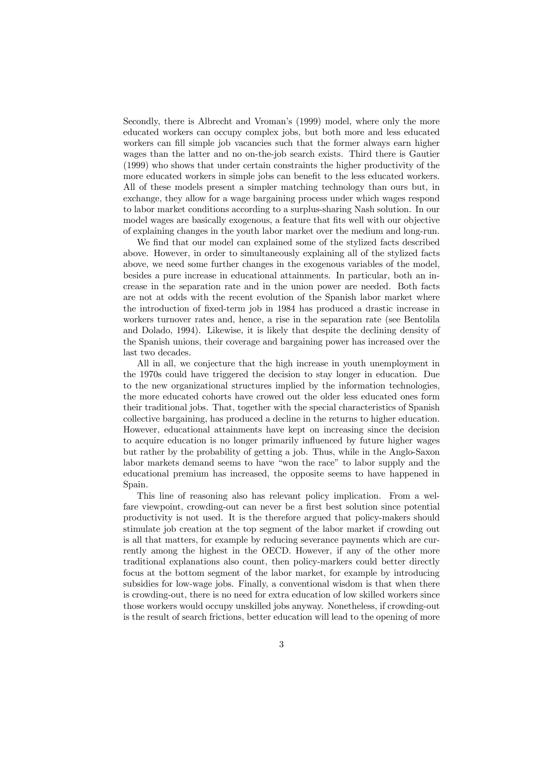Secondly, there is Albrecht and Vroman's (1999) model, where only the more educated workers can occupy complex jobs, but both more and less educated workers can fill simple job vacancies such that the former always earn higher wages than the latter and no on-the-job search exists. Third there is Gautier (1999) who shows that under certain constraints the higher productivity of the more educated workers in simple jobs can benefit to the less educated workers. All of these models present a simpler matching technology than ours but, in exchange, they allow for a wage bargaining process under which wages respond to labor market conditions according to a surplus-sharing Nash solution. In our model wages are basically exogenous, a feature that fits well with our objective of explaining changes in the youth labor market over the medium and long-run.

We find that our model can explained some of the stylized facts described above. However, in order to simultaneously explaining all of the stylized facts above, we need some further changes in the exogenous variables of the model, besides a pure increase in educational attainments. In particular, both an increase in the separation rate and in the union power are needed. Both facts are not at odds with the recent evolution of the Spanish labor market where the introduction of fixed-term job in 1984 has produced a drastic increase in workers turnover rates and, hence, a rise in the separation rate (see Bentolila and Dolado, 1994). Likewise, it is likely that despite the declining density of the Spanish unions, their coverage and bargaining power has increased over the last two decades.

All in all, we conjecture that the high increase in youth unemployment in the 1970s could have triggered the decision to stay longer in education. Due to the new organizational structures implied by the information technologies, the more educated cohorts have crowed out the older less educated ones form their traditional jobs. That, together with the special characteristics of Spanish collective bargaining, has produced a decline in the returns to higher education. However, educational attainments have kept on increasing since the decision to acquire education is no longer primarily influenced by future higher wages but rather by the probability of getting a job. Thus, while in the Anglo-Saxon labor markets demand seems to have "won the race" to labor supply and the educational premium has increased, the opposite seems to have happened in Spain.

This line of reasoning also has relevant policy implication. From a welfare viewpoint, crowding-out can never be a first best solution since potential productivity is not used. It is the therefore argued that policy-makers should stimulate job creation at the top segment of the labor market if crowding out is all that matters, for example by reducing severance payments which are currently among the highest in the OECD. However, if any of the other more traditional explanations also count, then policy-markers could better directly focus at the bottom segment of the labor market, for example by introducing subsidies for low-wage jobs. Finally, a conventional wisdom is that when there is crowding-out, there is no need for extra education of low skilled workers since those workers would occupy unskilled jobs anyway. Nonetheless, if crowding-out is the result of search frictions, better education will lead to the opening of more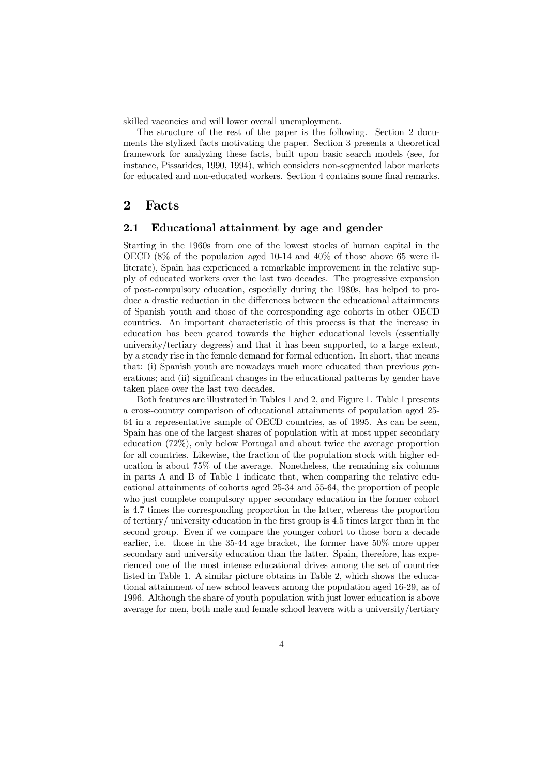skilled vacancies and will lower overall unemployment.

The structure of the rest of the paper is the following. Section 2 documents the stylized facts motivating the paper. Section 3 presents a theoretical framework for analyzing these facts, built upon basic search models (see, for instance, Pissarides, 1990, 1994), which considers non-segmented labor markets for educated and non-educated workers. Section 4 contains some final remarks.

#### 2 Facts

#### 2.1 Educational attainment by age and gender

Starting in the 1960s from one of the lowest stocks of human capital in the OECD (8% of the population aged 10-14 and 40% of those above 65 were illiterate), Spain has experienced a remarkable improvement in the relative supply of educated workers over the last two decades. The progressive expansion of post-compulsory education, especially during the 1980s, has helped to produce a drastic reduction in the differences between the educational attainments of Spanish youth and those of the corresponding age cohorts in other OECD countries. An important characteristic of this process is that the increase in education has been geared towards the higher educational levels (essentially university/tertiary degrees) and that it has been supported, to a large extent, by a steady rise in the female demand for formal education. In short, that means that: (i) Spanish youth are nowadays much more educated than previous generations; and (ii) significant changes in the educational patterns by gender have taken place over the last two decades.

Both features are illustrated in Tables 1 and 2, and Figure 1. Table 1 presents a cross-country comparison of educational attainments of population aged 25- 64 in a representative sample of OECD countries, as of 1995. As can be seen, Spain has one of the largest shares of population with at most upper secondary education (72%), only below Portugal and about twice the average proportion for all countries. Likewise, the fraction of the population stock with higher education is about 75% of the average. Nonetheless, the remaining six columns in parts A and B of Table 1 indicate that, when comparing the relative educational attainments of cohorts aged 25-34 and 55-64, the proportion of people who just complete compulsory upper secondary education in the former cohort is 4.7 times the corresponding proportion in the latter, whereas the proportion of tertiary/ university education in the first group is 4.5 times larger than in the second group. Even if we compare the younger cohort to those born a decade earlier, i.e. those in the 35-44 age bracket, the former have 50% more upper secondary and university education than the latter. Spain, therefore, has experienced one of the most intense educational drives among the set of countries listed in Table 1. A similar picture obtains in Table 2, which shows the educational attainment of new school leavers among the population aged 16-29, as of 1996. Although the share of youth population with just lower education is above average for men, both male and female school leavers with a university/tertiary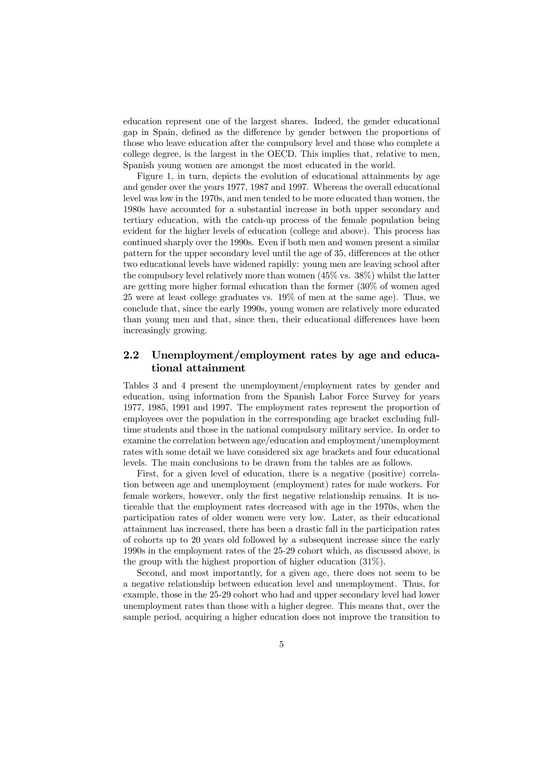education represent one of the largest shares. Indeed, the gender educational gap in Spain, defined as the difference by gender between the proportions of those who leave education after the compulsory level and those who complete a college degree, is the largest in the OECD. This implies that, relative to men, Spanish young women are amongst the most educated in the world.

Figure 1, in turn, depicts the evolution of educational attainments by age and gender over the years 1977, 1987 and 1997. Whereas the overall educational level was low in the 1970s, and men tended to be more educated than women, the 1980s have accounted for a substantial increase in both upper secondary and tertiary education, with the catch-up process of the female population being evident for the higher levels of education (college and above). This process has continued sharply over the 1990s. Even if both men and women present a similar pattern for the upper secondary level until the age of 35, differences at the other two educational levels have widened rapidly: young men are leaving school after the compulsory level relatively more than women (45% vs. 38%) whilst the latter are getting more higher formal education than the former (30% of women aged 25 were at least college graduates vs. 19% of men at the same age). Thus, we conclude that, since the early 1990s, young women are relatively more educated than young men and that, since then, their educational differences have been increasingly growing.

#### 2.2 Unemployment/employment rates by age and educational attainment

Tables 3 and 4 present the unemployment/employment rates by gender and education, using information from the Spanish Labor Force Survey for years 1977, 1985, 1991 and 1997. The employment rates represent the proportion of employees over the population in the corresponding age bracket excluding fulltime students and those in the national compulsory military service. In order to examine the correlation between age/education and employment/unemployment rates with some detail we have considered six age brackets and four educational levels. The main conclusions to be drawn from the tables are as follows.

First, for a given level of education, there is a negative (positive) correlation between age and unemployment (employment) rates for male workers. For female workers, however, only the first negative relationship remains. It is noticeable that the employment rates decreased with age in the 1970s, when the participation rates of older women were very low. Later, as their educational attainment has increased, there has been a drastic fall in the participation rates of cohorts up to 20 years old followed by a subsequent increase since the early 1990s in the employment rates of the 25-29 cohort which, as discussed above, is the group with the highest proportion of higher education (31%).

Second, and most importantly, for a given age, there does not seem to be a negative relationship between education level and unemployment. Thus, for example, those in the 25-29 cohort who had and upper secondary level had lower unemployment rates than those with a higher degree. This means that, over the sample period, acquiring a higher education does not improve the transition to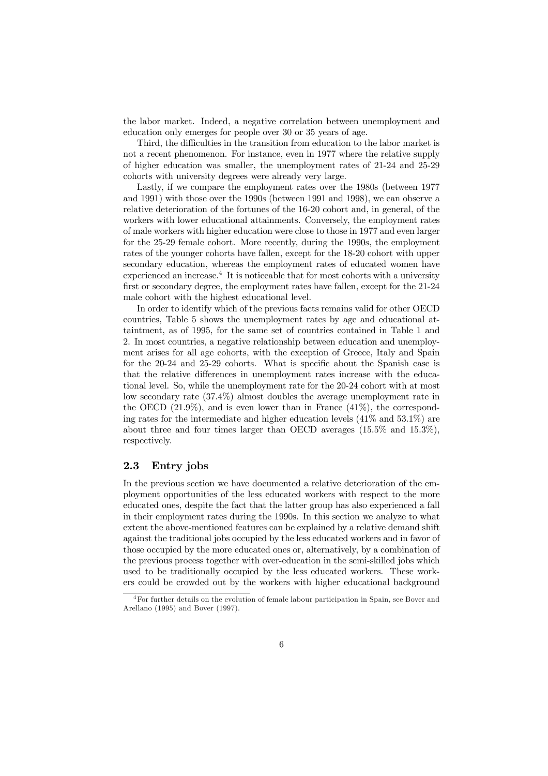the labor market. Indeed, a negative correlation between unemployment and education only emerges for people over 30 or 35 years of age.

Third, the difficulties in the transition from education to the labor market is not a recent phenomenon. For instance, even in 1977 where the relative supply of higher education was smaller, the unemployment rates of 21-24 and 25-29 cohorts with university degrees were already very large.

Lastly, if we compare the employment rates over the 1980s (between 1977 and 1991) with those over the 1990s (between 1991 and 1998), we can observe a relative deterioration of the fortunes of the 16-20 cohort and, in general, of the workers with lower educational attainments. Conversely, the employment rates of male workers with higher education were close to those in 1977 and even larger for the 25-29 female cohort. More recently, during the 1990s, the employment rates of the younger cohorts have fallen, except for the 18-20 cohort with upper secondary education, whereas the employment rates of educated women have experienced an increase.<sup>4</sup> It is noticeable that for most cohorts with a university first or secondary degree, the employment rates have fallen, except for the 21-24 male cohort with the highest educational level.

In order to identify which of the previous facts remains valid for other OECD countries, Table 5 shows the unemployment rates by age and educational attaintment, as of 1995, for the same set of countries contained in Table 1 and 2. In most countries, a negative relationship between education and unemployment arises for all age cohorts, with the exception of Greece, Italy and Spain for the 20-24 and 25-29 cohorts. What is specific about the Spanish case is that the relative differences in unemployment rates increase with the educational level. So, while the unemployment rate for the 20-24 cohort with at most low secondary rate (37.4%) almost doubles the average unemployment rate in the OECD  $(21.9\%)$ , and is even lower than in France  $(41\%)$ , the corresponding rates for the intermediate and higher education levels (41% and 53.1%) are about three and four times larger than OECD averages (15.5% and 15.3%), respectively.

#### 2.3 Entry jobs

In the previous section we have documented a relative deterioration of the employment opportunities of the less educated workers with respect to the more educated ones, despite the fact that the latter group has also experienced a fall in their employment rates during the 1990s. In this section we analyze to what extent the above-mentioned features can be explained by a relative demand shift against the traditional jobs occupied by the less educated workers and in favor of those occupied by the more educated ones or, alternatively, by a combination of the previous process together with over-education in the semi-skilled jobs which used to be traditionally occupied by the less educated workers. These workers could be crowded out by the workers with higher educational background

<sup>&</sup>lt;sup>4</sup>For further details on the evolution of female labour participation in Spain, see Bover and Arellano (1995) and Bover (1997).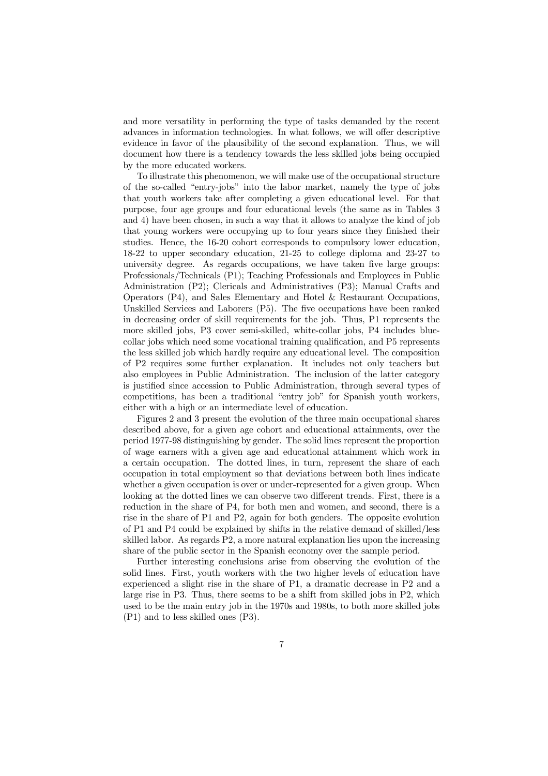and more versatility in performing the type of tasks demanded by the recent advances in information technologies. In what follows, we will offer descriptive evidence in favor of the plausibility of the second explanation. Thus, we will document how there is a tendency towards the less skilled jobs being occupied by the more educated workers.

To illustrate this phenomenon, we will make use of the occupational structure of the so-called "entry-jobs" into the labor market, namely the type of jobs that youth workers take after completing a given educational level. For that purpose, four age groups and four educational levels (the same as in Tables 3 and 4) have been chosen, in such a way that it allows to analyze the kind of job that young workers were occupying up to four years since they finished their studies. Hence, the 16-20 cohort corresponds to compulsory lower education, 18-22 to upper secondary education, 21-25 to college diploma and 23-27 to university degree. As regards occupations, we have taken five large groups: Professionals/Technicals (P1); Teaching Professionals and Employees in Public Administration (P2); Clericals and Administratives (P3); Manual Crafts and Operators (P4), and Sales Elementary and Hotel & Restaurant Occupations, Unskilled Services and Laborers (P5). The five occupations have been ranked in decreasing order of skill requirements for the job. Thus, P1 represents the more skilled jobs, P3 cover semi-skilled, white-collar jobs, P4 includes bluecollar jobs which need some vocational training qualification, and P5 represents the less skilled job which hardly require any educational level. The composition of P2 requires some further explanation. It includes not only teachers but also employees in Public Administration. The inclusion of the latter category is justified since accession to Public Administration, through several types of competitions, has been a traditional "entry job" for Spanish youth workers, either with a high or an intermediate level of education.

Figures 2 and 3 present the evolution of the three main occupational shares described above, for a given age cohort and educational attainments, over the period 1977-98 distinguishing by gender. The solid lines represent the proportion of wage earners with a given age and educational attainment which work in a certain occupation. The dotted lines, in turn, represent the share of each occupation in total employment so that deviations between both lines indicate whether a given occupation is over or under-represented for a given group. When looking at the dotted lines we can observe two different trends. First, there is a reduction in the share of P4, for both men and women, and second, there is a rise in the share of P1 and P2, again for both genders. The opposite evolution of P1 and P4 could be explained by shifts in the relative demand of skilled/less skilled labor. As regards P2, a more natural explanation lies upon the increasing share of the public sector in the Spanish economy over the sample period.

Further interesting conclusions arise from observing the evolution of the solid lines. First, youth workers with the two higher levels of education have experienced a slight rise in the share of P1, a dramatic decrease in P2 and a large rise in P3. Thus, there seems to be a shift from skilled jobs in P2, which used to be the main entry job in the 1970s and 1980s, to both more skilled jobs (P1) and to less skilled ones (P3).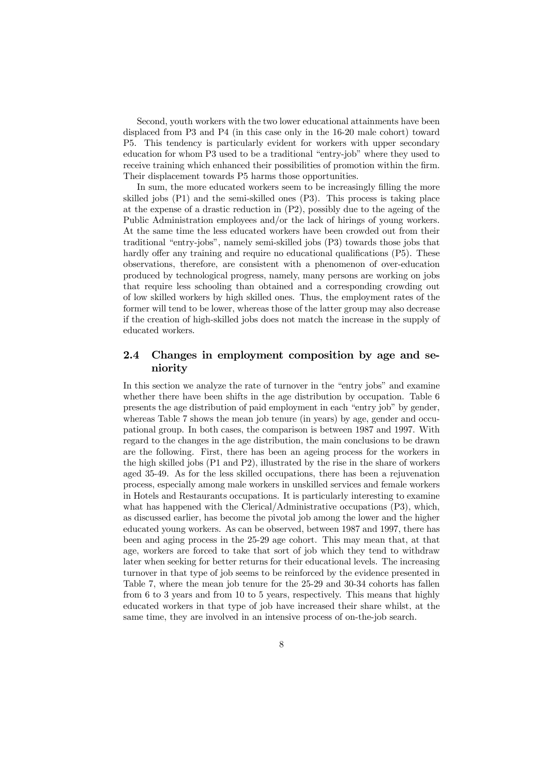Second, youth workers with the two lower educational attainments have been displaced from P3 and P4 (in this case only in the 16-20 male cohort) toward P5. This tendency is particularly evident for workers with upper secondary education for whom P3 used to be a traditional "entry-job" where they used to receive training which enhanced their possibilities of promotion within the firm. Their displacement towards P5 harms those opportunities.

In sum, the more educated workers seem to be increasingly filling the more skilled jobs (P1) and the semi-skilled ones (P3). This process is taking place at the expense of a drastic reduction in  $(P2)$ , possibly due to the ageing of the Public Administration employees and/or the lack of hirings of young workers. At the same time the less educated workers have been crowded out from their traditional "entry-jobs", namely semi-skilled jobs (P3) towards those jobs that hardly offer any training and require no educational qualifications (P5). These observations, therefore, are consistent with a phenomenon of over-education produced by technological progress, namely, many persons are working on jobs that require less schooling than obtained and a corresponding crowding out of low skilled workers by high skilled ones. Thus, the employment rates of the former will tend to be lower, whereas those of the latter group may also decrease if the creation of high-skilled jobs does not match the increase in the supply of educated workers.

#### 2.4 Changes in employment composition by age and seniority

In this section we analyze the rate of turnover in the "entry jobs" and examine whether there have been shifts in the age distribution by occupation. Table 6 presents the age distribution of paid employment in each "entry job" by gender, whereas Table 7 shows the mean job tenure (in years) by age, gender and occupational group. In both cases, the comparison is between 1987 and 1997. With regard to the changes in the age distribution, the main conclusions to be drawn are the following. First, there has been an ageing process for the workers in the high skilled jobs (P1 and P2), illustrated by the rise in the share of workers aged 35-49. As for the less skilled occupations, there has been a rejuvenation process, especially among male workers in unskilled services and female workers in Hotels and Restaurants occupations. It is particularly interesting to examine what has happened with the Clerical/Administrative occupations (P3), which, as discussed earlier, has become the pivotal job among the lower and the higher educated young workers. As can be observed, between 1987 and 1997, there has been and aging process in the 25-29 age cohort. This may mean that, at that age, workers are forced to take that sort of job which they tend to withdraw later when seeking for better returns for their educational levels. The increasing turnover in that type of job seems to be reinforced by the evidence presented in Table 7, where the mean job tenure for the 25-29 and 30-34 cohorts has fallen from 6 to 3 years and from 10 to 5 years, respectively. This means that highly educated workers in that type of job have increased their share whilst, at the same time, they are involved in an intensive process of on-the-job search.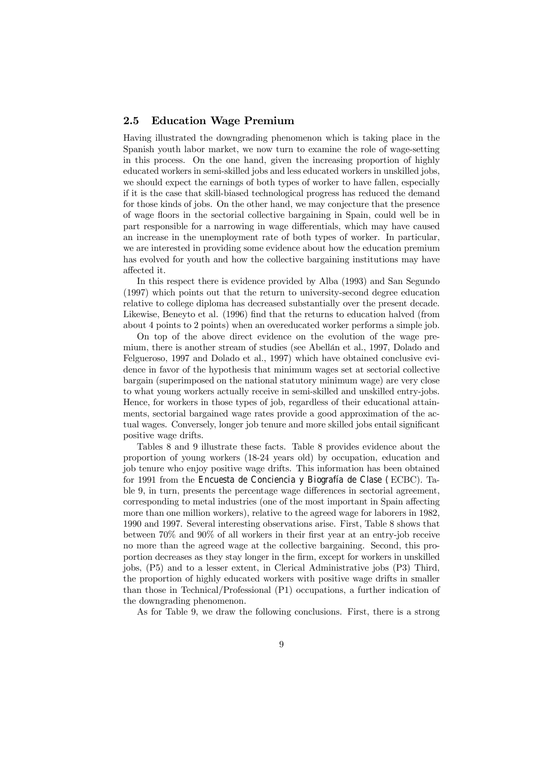#### 2.5 Education Wage Premium

Having illustrated the downgrading phenomenon which is taking place in the Spanish youth labor market, we now turn to examine the role of wage-setting in this process. On the one hand, given the increasing proportion of highly educated workers in semi-skilled jobs and less educated workers in unskilled jobs, we should expect the earnings of both types of worker to have fallen, especially if it is the case that skill-biased technological progress has reduced the demand for those kinds of jobs. On the other hand, we may conjecture that the presence of wage floors in the sectorial collective bargaining in Spain, could well be in part responsible for a narrowing in wage differentials, which may have caused an increase in the unemployment rate of both types of worker. In particular, we are interested in providing some evidence about how the education premium has evolved for youth and how the collective bargaining institutions may have affected it.

In this respect there is evidence provided by Alba (1993) and San Segundo (1997) which points out that the return to university-second degree education relative to college diploma has decreased substantially over the present decade. Likewise, Beneyto et al. (1996) find that the returns to education halved (from about 4 points to 2 points) when an overeducated worker performs a simple job.

On top of the above direct evidence on the evolution of the wage premium, there is another stream of studies (see Abellán et al., 1997, Dolado and Felgueroso, 1997 and Dolado et al., 1997) which have obtained conclusive evidence in favor of the hypothesis that minimum wages set at sectorial collective bargain (superimposed on the national statutory minimum wage) are very close to what young workers actually receive in semi-skilled and unskilled entry-jobs. Hence, for workers in those types of job, regardless of their educational attainments, sectorial bargained wage rates provide a good approximation of the actual wages. Conversely, longer job tenure and more skilled jobs entail significant positive wage drifts.

Tables 8 and 9 illustrate these facts. Table 8 provides evidence about the proportion of young workers (18-24 years old) by occupation, education and job tenure who enjoy positive wage drifts. This information has been obtained for 1991 from the Encuesta de Conciencia y Biografía de Clase (ECBC). Table 9, in turn, presents the percentage wage differences in sectorial agreement, corresponding to metal industries (one of the most important in Spain affecting more than one million workers), relative to the agreed wage for laborers in 1982, 1990 and 1997. Several interesting observations arise. First, Table 8 shows that between 70% and 90% of all workers in their first year at an entry-job receive no more than the agreed wage at the collective bargaining. Second, this proportion decreases as they stay longer in the firm, except for workers in unskilled jobs, (P5) and to a lesser extent, in Clerical Administrative jobs (P3) Third, the proportion of highly educated workers with positive wage drifts in smaller than those in Technical/Professional (P1) occupations, a further indication of the downgrading phenomenon.

As for Table 9, we draw the following conclusions. First, there is a strong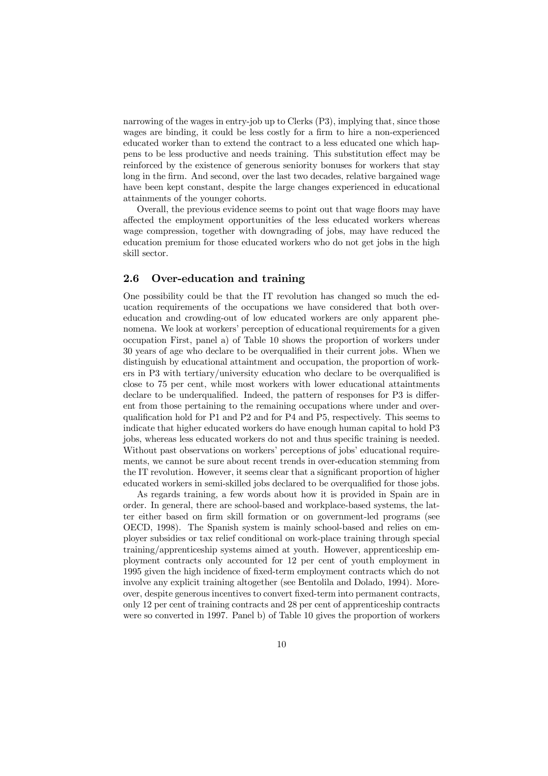narrowing of the wages in entry-job up to Clerks (P3), implying that, since those wages are binding, it could be less costly for a firm to hire a non-experienced educated worker than to extend the contract to a less educated one which happens to be less productive and needs training. This substitution effect may be reinforced by the existence of generous seniority bonuses for workers that stay long in the firm. And second, over the last two decades, relative bargained wage have been kept constant, despite the large changes experienced in educational attainments of the younger cohorts.

Overall, the previous evidence seems to point out that wage floors may have affected the employment opportunities of the less educated workers whereas wage compression, together with downgrading of jobs, may have reduced the education premium for those educated workers who do not get jobs in the high skill sector.

#### 2.6 Over-education and training

One possibility could be that the IT revolution has changed so much the education requirements of the occupations we have considered that both overeducation and crowding-out of low educated workers are only apparent phenomena. We look at workers' perception of educational requirements for a given occupation First, panel a) of Table 10 shows the proportion of workers under 30 years of age who declare to be overqualified in their current jobs. When we distinguish by educational attaintment and occupation, the proportion of workers in P3 with tertiary/university education who declare to be overqualified is close to 75 per cent, while most workers with lower educational attaintments declare to be underqualified. Indeed, the pattern of responses for P3 is different from those pertaining to the remaining occupations where under and overqualification hold for P1 and P2 and for P4 and P5, respectively. This seems to indicate that higher educated workers do have enough human capital to hold P3 jobs, whereas less educated workers do not and thus specific training is needed. Without past observations on workers' perceptions of jobs' educational requirements, we cannot be sure about recent trends in over-education stemming from the IT revolution. However, it seems clear that a significant proportion of higher educated workers in semi-skilled jobs declared to be overqualified for those jobs.

As regards training, a few words about how it is provided in Spain are in order. In general, there are school-based and workplace-based systems, the latter either based on firm skill formation or on government-led programs (see OECD, 1998). The Spanish system is mainly school-based and relies on employer subsidies or tax relief conditional on work-place training through special training/apprenticeship systems aimed at youth. However, apprenticeship employment contracts only accounted for 12 per cent of youth employment in 1995 given the high incidence of fixed-term employment contracts which do not involve any explicit training altogether (see Bentolila and Dolado, 1994). Moreover, despite generous incentives to convert fixed-term into permanent contracts, only 12 per cent of training contracts and 28 per cent of apprenticeship contracts were so converted in 1997. Panel b) of Table 10 gives the proportion of workers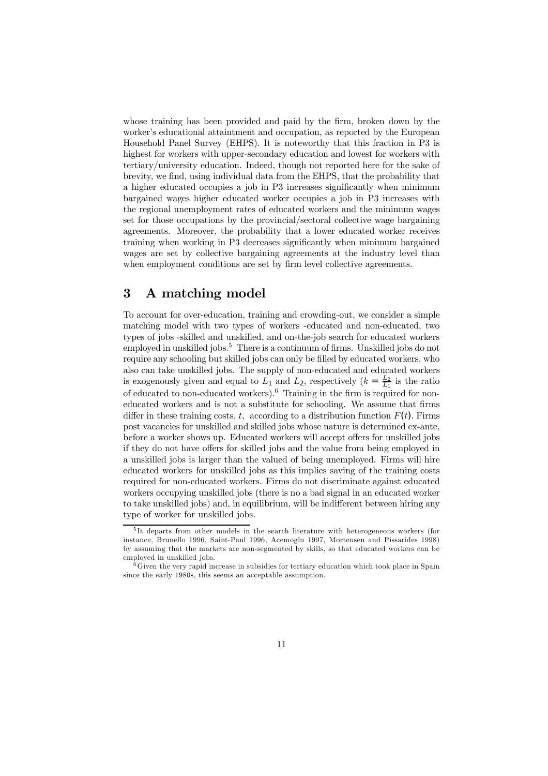whose training has been provided and paid by the firm, broken down by the worker's educational attaintment and occupation, as reported by the European Household Panel Survey (EHPS). It is noteworthy that this fraction in P3 is highest for workers with upper-secondary education and lowest for workers with tertiary/university education. Indeed, though not reported here for the sake of brevity, we find, using individual data from the EHPS, that the probability that a higher educated occupies a job in P3 increases significantly when minimum bargained wages higher educated worker occupies a job in P3 increases with the regional unemployment rates of educated workers and the minimum wages set for those occupations by the provincial/sectoral collective wage bargaining agreements. Moreover, the probability that a lower educated worker receives training when working in P3 decreases significantly when minimum bargained wages are set by collective bargaining agreements at the industry level than when employment conditions are set by firm level collective agreements.

## 3 A matching model

To account for over-education, training and crowding-out, we consider a simple matching model with two types of workers -educated and non-educated, two types of jobs -skilled and unskilled, and on-the-job search for educated workers employed in unskilled jobs.<sup>5</sup> There is a continuum of firms. Unskilled jobs do not require any schooling but skilled jobs can only be filled by educated workers, who also can take unskilled jobs. The supply of non-educated and educated workers is exogenously given and equal to  $L_1$  and  $L_2$ , respectively  $(k = \frac{L_2}{L_1})$  is the ratio of educated to non-educated workers).<sup>6</sup> Training in the firm is required for noneducated workers and is not a substitute for schooling. We assume that firms differ in these training costs, t, according to a distribution function  $F(t)$ . Firms post vacancies for unskilled and skilled jobs whose nature is determined ex-ante, before a worker shows up. Educated workers will accept offers for unskilled jobs if they do not have offers for skilled jobs and the value from being employed in a unskilled jobs is larger than the valued of being unemployed. Firms will hire educated workers for unskilled jobs as this implies saving of the training costs required for non-educated workers. Firms do not discriminate against educated workers occupying unskilled jobs (there is no a bad signal in an educated worker to take unskilled jobs) and, in equilibrium, will be indifferent between hiring any type of worker for unskilled jobs.

<sup>&</sup>lt;sup>5</sup>It departs from other models in the search literature with heterogeneous workers (for instance, Brunello 1996, Saint-Paul 1996, Acemoglu 1997, Mortensen and Pissarides 1998) by assuming that the markets are non-segmented by skills, so that educated workers can be employed in unskilled jobs.

<sup>6</sup>Given the very rapid increase in subsidies for tertiary education which took place in Spain since the early 1980s, this seems an acceptable assumption.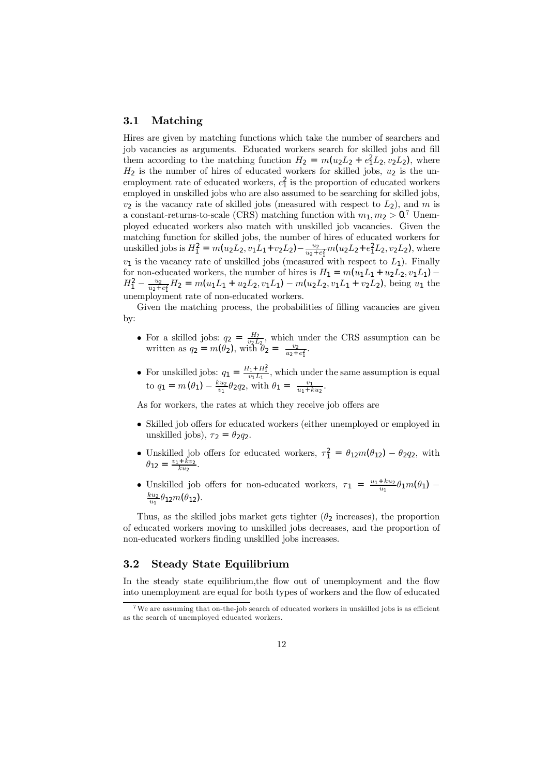#### 3.1 Matching

Hires are given by matching functions which take the number of searchers and job vacancies as arguments. Educated workers search for skilled jobs and fill them according to the matching function  $H_2 = m(u_2L_2 + e_1^2L_2, v_2L_2)$ , where  $H_2$  is the number of hires of educated workers for skilled jobs,  $u_2$  is the unemployment rate of educated workers,  $e_1^2$  is the proportion of educated workers employed in unskilled jobs who are also assumed to be searching for skilled jobs,  $v_2$  is the vacancy rate of skilled jobs (measured with respect to  $L_2$ ), and m is a constant-returns-to-scale (CRS) matching function with  $m_1, m_2 > 0$ .<sup>7</sup> Unemployed educated workers also match with unskilled job vacancies. Given the matching function for skilled jobs, the number of hires of educated workers for unskilled jobs is  $H_1^2 = m(u_2L_2, v_1L_1 + v_2L_2) - \frac{u_2}{u_2 + e_1^2}m(u_2L_2 + e_1^2L_2, v_2L_2)$ , where  $v_1$  is the vacancy rate of unskilled jobs (measured with respect to  $L_1$ ). Finally for non-educated workers, the number of hires is  $H_1 = m(u_1L_1 + u_2L_2, v_1L_1)$  –  $H_1^2 - \frac{u_2}{u_2 + e_1^2} H_2 = m(u_1 L_1 + u_2 L_2, v_1 L_1) - m(u_2 L_2, v_1 L_1 + v_2 L_2)$ , being  $u_1$  the unemployment rate of non-educated workers.

Given the matching process, the probabilities of filling vacancies are given by:

- For a skilled jobs:  $q_2 = \frac{H_2}{v_2 L_2}$ , which under the CRS assumption can be written as  $q_2 = m(\theta_2)$ , with  $\theta_2 = \frac{v_2}{u_2 + e_1^2}$ .
- For unskilled jobs:  $q_1 = \frac{H_1 + H_1^2}{v_1 L_1}$ , which under the same assumption is equal to  $q_1 = m(\theta_1) - \frac{k u_2}{v_1} \theta_2 q_2$ , with  $\theta_1 = \frac{v_1}{u_1 + k u_2}$ .

As for workers, the rates at which they receive job offers are

- Skilled job offers for educated workers (either unemployed or employed in unskilled jobs),  $\tau_2 = \theta_2 q_2$ .
- Unskilled job offers for educated workers,  $\tau_1^2 = \theta_{12} m(\theta_{12}) \theta_{2} q_2$ , with  $\theta_{12} = \frac{v_1 + kv_2}{ku_2}.$
- Unskilled job offers for non-educated workers,  $\tau_1 = \frac{u_1 + ku_2}{u_1} \theta_1 m(\theta_1)$  $\frac{ku_2}{u_1} \theta_{12} m(\theta_{12})$ .

Thus, as the skilled jobs market gets tighter  $(\theta_2$  increases), the proportion of educated workers moving to unskilled jobs decreases, and the proportion of non-educated workers finding unskilled jobs increases.

#### 3.2 Steady State Equilibrium

In the steady state equilibrium,the flow out of unemployment and the flow into unemployment are equal for both types of workers and the flow of educated

<sup>&</sup>lt;sup>7</sup>We are assuming that on-the-job search of educated workers in unskilled jobs is as efficient as the search of unemployed educated workers.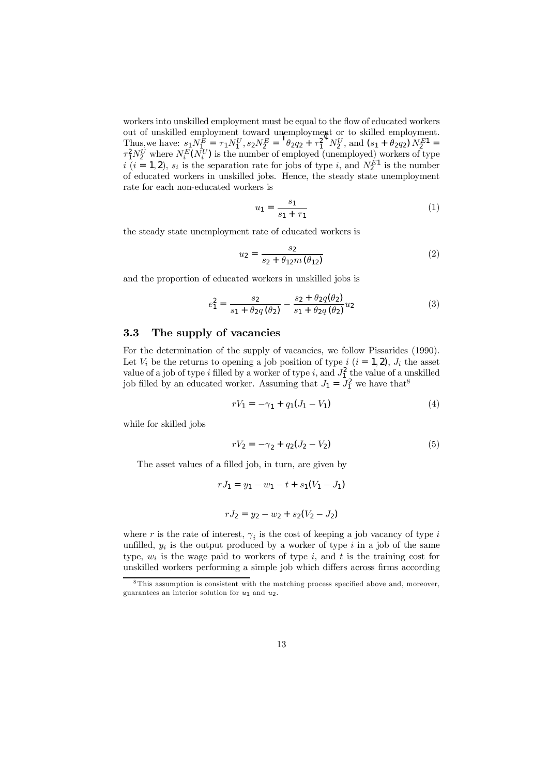workers into unskilled employment must be equal to the flow of educated workers out of unskilled employment toward unemployment or to skilled employment. Thus, we have:  $s_1 N_1^E = \tau_1 N_1^U$ ,  $s_2 N_2^E = {}^{\perp} \theta_2 q_2 + \tau_1^2 V_2^U$ , and  $(s_1 + \theta_2 q_2) N_2^{E_1} =$  $\tau_1^2 N_2^U$  where  $N_i^E(N_i^U)$  is the number of employed (unemployed) workers of type  $i$   $(i = 1, 2)$ ,  $s_i$  is the separation rate for jobs of type i, and  $N_2^{E_1}$  is the number of educated workers in unskilled jobs. Hence, the steady state unemployment rate for each non-educated workers is

$$
u_1 = \frac{s_1}{s_1 + \tau_1} \tag{1}
$$

the steady state unemployment rate of educated workers is

$$
u_2 = \frac{s_2}{s_2 + \theta_{12} m(\theta_{12})}
$$
 (2)

and the proportion of educated workers in unskilled jobs is

$$
e_1^2 = \frac{s_2}{s_1 + \theta_2 q(\theta_2)} - \frac{s_2 + \theta_2 q(\theta_2)}{s_1 + \theta_2 q(\theta_2)} u_2
$$
 (3)

#### 3.3 The supply of vacancies

For the determination of the supply of vacancies, we follow Pissarides (1990). Let  $V_i$  be the returns to opening a job position of type  $i$   $(i = 1, 2)$ ,  $J_i$  the asset value of a job of type i filled by a worker of type i, and  $J_1^2$  the value of a unskilled job filled by an educated worker. Assuming that  $J_1 = J_1^2$  we have that<sup>8</sup>

$$
rV_1 = -\gamma_1 + q_1(J_1 - V_1) \tag{4}
$$

while for skilled jobs

$$
rV_2 = -\gamma_2 + q_2(J_2 - V_2) \tag{5}
$$

The asset values of a filled job, in turn, are given by

$$
rJ_1 = y_1 - w_1 - t + s_1(V_1 - J_1)
$$

$$
rJ_2 = y_2 - w_2 + s_2(V_2 - J_2)
$$

where r is the rate of interest,  $\gamma_i$  is the cost of keeping a job vacancy of type i unfilled,  $y_i$  is the output produced by a worker of type i in a job of the same type,  $w_i$  is the wage paid to workers of type i, and t is the training cost for unskilled workers performing a simple job which differs across firms according

<sup>8</sup> This assumption is consistent with the matching process specified above and, moreover, guarantees an interior solution for  $u_1$  and  $u_2$ .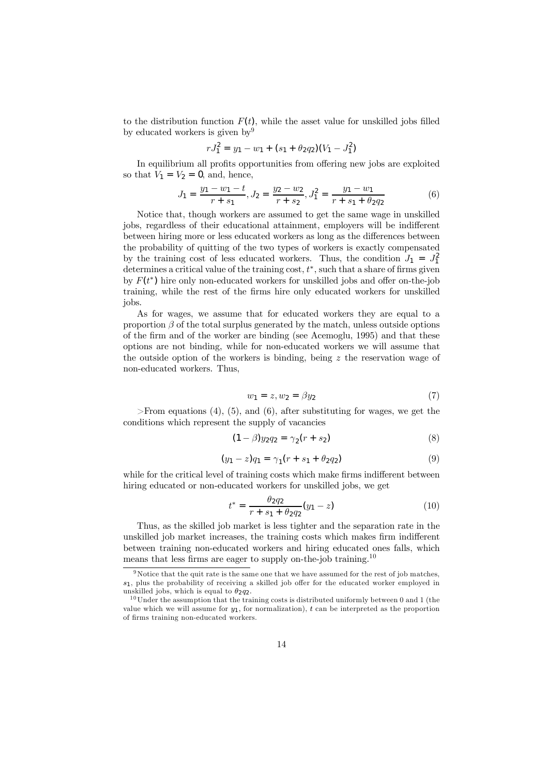to the distribution function  $F(t)$ , while the asset value for unskilled jobs filled by educated workers is given by  $9^9$ 

$$
rJ_1^2 = y_1 - w_1 + (s_1 + \theta_2 q_2)(V_1 - J_1^2)
$$

In equilibrium all profits opportunities from offering new jobs are exploited so that  $V_1 = V_2 = 0$ , and, hence,

$$
J_1 = \frac{y_1 - w_1 - t}{r + s_1}, J_2 = \frac{y_2 - w_2}{r + s_2}, J_1^2 = \frac{y_1 - w_1}{r + s_1 + \theta_2 q_2}
$$
(6)

Notice that, though workers are assumed to get the same wage in unskilled jobs, regardless of their educational attainment, employers will be indifferent between hiring more or less educated workers as long as the differences between the probability of quitting of the two types of workers is exactly compensated by the training cost of less educated workers. Thus, the condition  $J_1 = J_1^2$ determines a critical value of the training cost,  $t^*$ , such that a share of firms given by  $F(t^*)$  hire only non-educated workers for unskilled jobs and offer on-the-job training, while the rest of the firms hire only educated workers for unskilled jobs.

As for wages, we assume that for educated workers they are equal to a proportion  $\beta$  of the total surplus generated by the match, unless outside options of the firm and of the worker are binding (see Acemoglu, 1995) and that these options are not binding, while for non-educated workers we will assume that the outside option of the workers is binding, being z the reservation wage of non-educated workers. Thus,

$$
w_1 = z, w_2 = \beta y_2 \tag{7}
$$

 $>$ From equations (4), (5), and (6), after substituting for wages, we get the conditions which represent the supply of vacancies

$$
(1 - \beta)y_2 q_2 = \gamma_2 (r + s_2)
$$
 (8)

$$
(y_1 - z)q_1 = \gamma_1(r + s_1 + \theta_2 q_2)
$$
 (9)

while for the critical level of training costs which make firms indifferent between hiring educated or non-educated workers for unskilled jobs, we get

$$
t^* = \frac{\theta_2 q_2}{r + s_1 + \theta_2 q_2} (y_1 - z)
$$
 (10)

Thus, as the skilled job market is less tighter and the separation rate in the unskilled job market increases, the training costs which makes firm indifferent between training non-educated workers and hiring educated ones falls, which means that less firms are eager to supply on-the-job training.<sup>10</sup>

<sup>&</sup>lt;sup>9</sup>Notice that the quit rate is the same one that we have assumed for the rest of job matches,  $s_1$ , plus the probability of receiving a skilled job offer for the educated worker employed in unskilled jobs, which is equal to  $\theta_2 q_2$ .

<sup>&</sup>lt;sup>10</sup>Under the assumption that the training costs is distributed uniformly between 0 and 1 (the value which we will assume for  $y_1$ , for normalization), t can be interpreted as the proportion of firms training non-educated workers.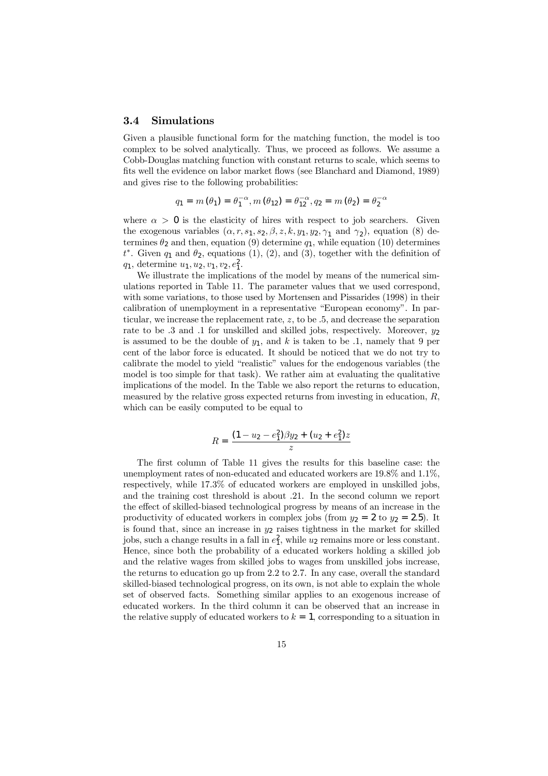#### 3.4 Simulations

Given a plausible functional form for the matching function, the model is too complex to be solved analytically. Thus, we proceed as follows. We assume a Cobb-Douglas matching function with constant returns to scale, which seems to fits well the evidence on labor market flows (see Blanchard and Diamond, 1989) and gives rise to the following probabilities:

$$
q_1 = m(\theta_1) = \theta_1^{-\alpha}, m(\theta_{12}) = \theta_{12}^{-\alpha}, q_2 = m(\theta_2) = \theta_2^{-\alpha}
$$

where  $\alpha > 0$  is the elasticity of hires with respect to job searchers. Given the exogenous variables  $(\alpha, r, s_1, s_2, \beta, z, k, y_1, y_2, \gamma_1 \text{ and } \gamma_2)$ , equation (8) determines  $\theta_2$  and then, equation (9) determine  $q_1$ , while equation (10) determines  $t^*$ . Given  $q_1$  and  $\theta_2$ , equations (1), (2), and (3), together with the definition of  $q_1$ , determine  $u_1, u_2, v_1, v_2, e_1^2$ .

We illustrate the implications of the model by means of the numerical simulations reported in Table 11. The parameter values that we used correspond, with some variations, to those used by Mortensen and Pissarides (1998) in their calibration of unemployment in a representative "European economy". In particular, we increase the replacement rate,  $z$ , to be  $.5$ , and decrease the separation rate to be .3 and .1 for unskilled and skilled jobs, respectively. Moreover,  $y_2$ is assumed to be the double of  $y_1$ , and k is taken to be .1, namely that 9 per cent of the labor force is educated. It should be noticed that we do not try to calibrate the model to yield "realistic" values for the endogenous variables (the model is too simple for that task). We rather aim at evaluating the qualitative implications of the model. In the Table we also report the returns to education, measured by the relative gross expected returns from investing in education,  $R$ , which can be easily computed to be equal to

$$
R = \frac{(1 - u_2 - e_1^2)\beta y_2 + (u_2 + e_1^2)z}{z}
$$

The first column of Table 11 gives the results for this baseline case: the unemployment rates of non-educated and educated workers are 19.8% and 1.1%, respectively, while 17.3% of educated workers are employed in unskilled jobs, and the training cost threshold is about .21. In the second column we report the effect of skilled-biased technological progress by means of an increase in the productivity of educated workers in complex jobs (from  $y_2 = 2$  to  $y_2 = 2.5$ ). It is found that, since an increase in  $y_2$  raises tightness in the market for skilled jobs, such a change results in a fall in  $e_1^2$ , while  $u_2$  remains more or less constant. Hence, since both the probability of a educated workers holding a skilled job and the relative wages from skilled jobs to wages from unskilled jobs increase, the returns to education go up from 2.2 to 2.7. In any case, overall the standard skilled-biased technological progress, on its own, is not able to explain the whole set of observed facts. Something similar applies to an exogenous increase of educated workers. In the third column it can be observed that an increase in the relative supply of educated workers to  $k = 1$ , corresponding to a situation in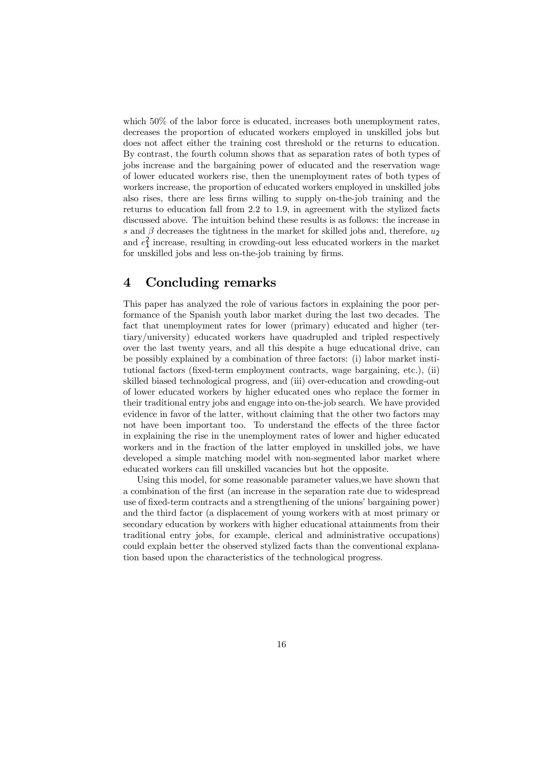which 50% of the labor force is educated, increases both unemployment rates, decreases the proportion of educated workers employed in unskilled jobs but does not affect either the training cost threshold or the returns to education. By contrast, the fourth column shows that as separation rates of both types of jobs increase and the bargaining power of educated and the reservation wage of lower educated workers rise, then the unemployment rates of both types of workers increase, the proportion of educated workers employed in unskilled jobs also rises, there are less firms willing to supply on-the-job training and the returns to education fall from 2.2 to 1.9, in agreement with the stylized facts discussed above. The intuition behind these results is as follows: the increase in s and  $\beta$  decreases the tightness in the market for skilled jobs and, therefore,  $u_2$ and  $e_1^2$  increase, resulting in crowding-out less educated workers in the market for unskilled jobs and less on-the-job training by firms.

### 4 Concluding remarks

This paper has analyzed the role of various factors in explaining the poor performance of the Spanish youth labor market during the last two decades. The fact that unemployment rates for lower (primary) educated and higher (tertiary/university) educated workers have quadrupled and tripled respectively over the last twenty years, and all this despite a huge educational drive, can be possibly explained by a combination of three factors: (i) labor market institutional factors (fixed-term employment contracts, wage bargaining, etc.), (ii) skilled biased technological progress, and (iii) over-education and crowding-out of lower educated workers by higher educated ones who replace the former in their traditional entry jobs and engage into on-the-job search. We have provided evidence in favor of the latter, without claiming that the other two factors may not have been important too. To understand the effects of the three factor in explaining the rise in the unemployment rates of lower and higher educated workers and in the fraction of the latter employed in unskilled jobs, we have developed a simple matching model with non-segmented labor market where educated workers can fill unskilled vacancies but hot the opposite.

Using this model, for some reasonable parameter values,we have shown that a combination of the first (an increase in the separation rate due to widespread use of fixed-term contracts and a strengthening of the unions' bargaining power) and the third factor (a displacement of young workers with at most primary or secondary education by workers with higher educational attainments from their traditional entry jobs, for example, clerical and administrative occupations) could explain better the observed stylized facts than the conventional explanation based upon the characteristics of the technological progress.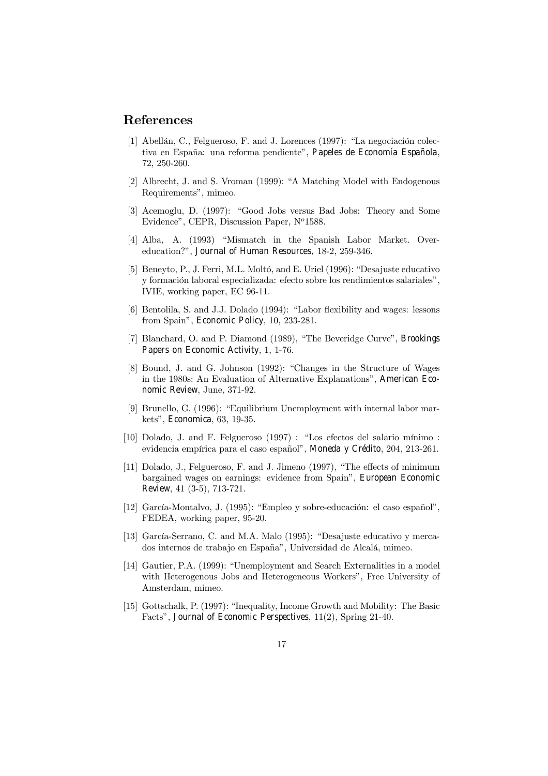## References

- [1] Abellán, C., Felgueroso, F. and J. Lorences (1997): "La negociación colectiva en España: una reforma pendiente", Papeles de Economía Española, 72, 250-260.
- [2] Albrecht, J. and S. Vroman (1999): "A Matching Model with Endogenous Requirements", mimeo.
- [3] Acemoglu, D. (1997): "Good Jobs versus Bad Jobs: Theory and Some Evidence", CEPR, Discussion Paper,  $N^o$ 1588.
- [4] Alba, A. (1993) "Mismatch in the Spanish Labor Market. Overeducation?", Journal of Human Resources, 18-2, 259-346.
- [5] Beneyto, P., J. Ferri, M.L. Moltó, and E. Uriel (1996): "Desajuste educativo y formación laboral especializada: efecto sobre los rendimientos salariales", IVIE, working paper, EC 96-11.
- [6] Bentolila, S. and J.J. Dolado (1994): "Labor flexibility and wages: lessons from Spain", Economic Policy, 10, 233-281.
- [7] Blanchard, O. and P. Diamond (1989), "The Beveridge Curve", Brookings Papers on Economic Activity, 1, 1-76.
- [8] Bound, J. and G. Johnson (1992): "Changes in the Structure of Wages in the 1980s: An Evaluation of Alternative Explanations", American Economic Review, June, 371-92.
- [9] Brunello, G. (1996): "Equilibrium Unemployment with internal labor markets", Economica, 63, 19-35.
- [10] Dolado, J. and F. Felgueroso (1997) : "Los efectos del salario mínimo : evidencia empírica para el caso español", Moneda y Crédito, 204, 213-261.
- [11] Dolado, J., Felgueroso, F. and J. Jimeno (1997), "The effects of minimum bargained wages on earnings: evidence from Spain", European Economic Review, 41 (3-5), 713-721.
- [12] García-Montalvo, J. (1995): "Empleo y sobre-educación: el caso español", FEDEA, working paper, 95-20.
- [13] García-Serrano, C. and M.A. Malo (1995): "Desajuste educativo y mercados internos de trabajo en España", Universidad de Alcalá, mimeo.
- [14] Gautier, P.A. (1999): "Unemployment and Search Externalities in a model with Heterogenous Jobs and Heterogeneous Workers", Free University of Amsterdam, mimeo.
- [15] Gottschalk, P. (1997): "Inequality, Income Growth and Mobility: The Basic Facts", Journal of Economic Perspectives, 11(2), Spring 21-40.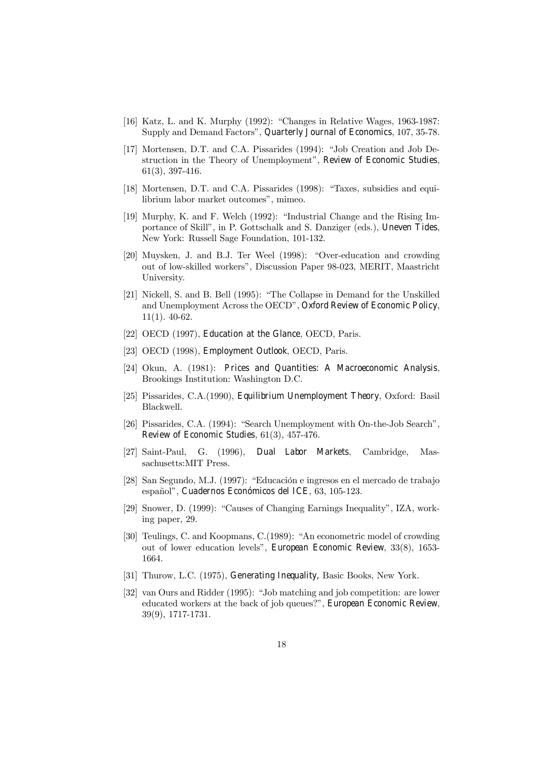- [16] Katz, L. and K. Murphy (1992): "Changes in Relative Wages, 1963-1987: Supply and Demand Factors", Quarterly Journal of Economics, 107, 35-78.
- [17] Mortensen, D.T. and C.A. Pissarides (1994): "Job Creation and Job Destruction in the Theory of Unemployment", Review of Economic Studies, 61(3), 397-416.
- [18] Mortensen, D.T. and C.A. Pissarides (1998): "Taxes, subsidies and equilibrium labor market outcomes", mimeo.
- [19] Murphy, K. and F. Welch (1992): "Industrial Change and the Rising Importance of Skill", in P. Gottschalk and S. Danziger (eds.), Uneven Tides, New York: Russell Sage Foundation, 101-132.
- [20] Muysken, J. and B.J. Ter Weel (1998): "Over-education and crowding out of low-skilled workers", Discussion Paper 98-023, MERIT, Maastricht University.
- [21] Nickell, S. and B. Bell (1995): "The Collapse in Demand for the Unskilled and Unemployment Across the OECD", Oxford Review of Economic Policy, 11(1). 40-62.
- [22] OECD (1997), Education at the Glance, OECD, Paris.
- [23] OECD (1998), Employment Outlook, OECD, Paris.
- [24] Okun, A. (1981): Prices and Quantities: A Macroeconomic Analysis, Brookings Institution: Washington D.C.
- [25] Pissarides, C.A.(1990), Equilibrium Unemployment Theory, Oxford: Basil Blackwell.
- [26] Pissarides, C.A. (1994): "Search Unemployment with On-the-Job Search", Review of Economic Studies, 61(3), 457-476.
- [27] Saint-Paul, G. (1996), Dual Labor Markets, Cambridge, Massachusetts:MIT Press.
- [28] San Segundo, M.J. (1997): "Educación e ingresos en el mercado de trabajo español", Cuadernos Económicos del ICE, 63, 105-123.
- [29] Snower, D. (1999): "Causes of Changing Earnings Inequality", IZA, working paper, 29.
- [30] Teulings, C. and Koopmans, C.(1989): "An econometric model of crowding out of lower education levels", European Economic Review, 33(8), 1653- 1664.
- [31] Thurow, L.C. (1975), Generating Inequality, Basic Books, New York.
- [32] van Ours and Ridder (1995): "Job matching and job competition: are lower educated workers at the back of job queues?", European Economic Review, 39(9), 1717-1731.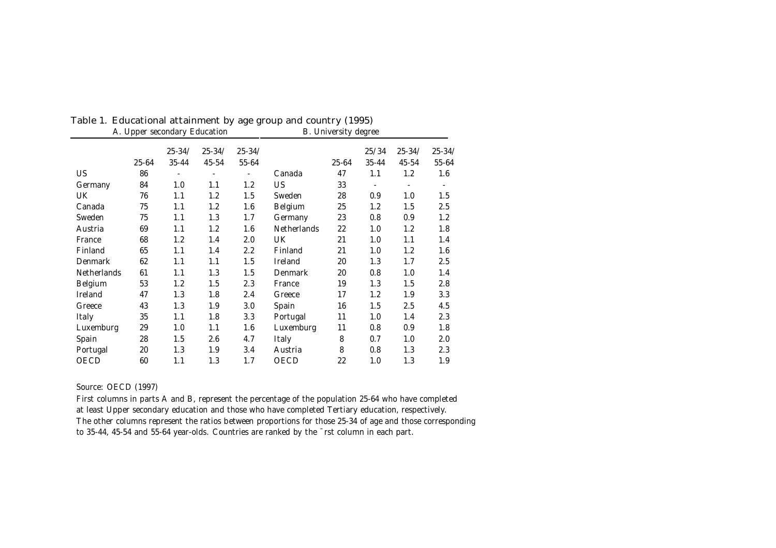|                | A. Upper secondary Education |            |            |            |                    | B. University degree |       |            |            |
|----------------|------------------------------|------------|------------|------------|--------------------|----------------------|-------|------------|------------|
|                |                              | $25 - 34/$ | $25 - 34/$ | $25 - 34/$ |                    |                      | 25/34 | $25 - 34/$ | $25 - 34/$ |
|                | $25 - 64$                    | $35 - 44$  | 45-54      | 55-64      |                    | $25 - 64$            | 35-44 | 45-54      | $55 - 64$  |
| US             | 86                           |            |            |            | Canada             | 47                   | 1.1   | 1.2        | 1.6        |
| Germany        | 84                           | 1.0        | 1.1        | 1.2        | US                 | 33                   |       |            | ۰          |
| <b>UK</b>      | 76                           | 1.1        | 1.2        | 1.5        | Sweden             | 28                   | 0.9   | 1.0        | 1.5        |
| Canada         | 75                           | 1.1        | 1.2        | 1.6        | Belgium            | 25                   | 1.2   | 1.5        | 2.5        |
| Sweden         | 75                           | 1.1        | 1.3        | 1.7        | Germany            | 23                   | 0.8   | 0.9        | 1.2        |
| Austria        | 69                           | 1.1        | 1.2        | 1.6        | <b>Netherlands</b> | 22                   | 1.0   | 1.2        | 1.8        |
| France         | 68                           | 1.2        | 1.4        | 2.0        | UK                 | 21                   | 1.0   | 1.1        | 1.4        |
| Finland        | 65                           | 1.1        | 1.4        | $2.2\,$    | Finland            | 21                   | 1.0   | 1.2        | 1.6        |
| <b>Denmark</b> | 62                           | 1.1        | 1.1        | $1.5\,$    | Ireland            | 20                   | 1.3   | 1.7        | 2.5        |
| Netherlands    | 61                           | 1.1        | 1.3        | $1.5\,$    | <b>Denmark</b>     | 20                   | 0.8   | 1.0        | 1.4        |
| Belgium        | 53                           | 1.2        | 1.5        | 2.3        | France             | 19                   | 1.3   | 1.5        | 2.8        |
| Ireland        | 47                           | 1.3        | 1.8        | 2.4        | Greece             | 17                   | 1.2   | 1.9        | 3.3        |
| Greece         | 43                           | 1.3        | 1.9        | 3.0        | Spain              | 16                   | 1.5   | 2.5        | 4.5        |
| Italy          | 35                           | 1.1        | 1.8        | 3.3        | Portugal           | 11                   | 1.0   | 1.4        | 2.3        |
| Luxemburg      | 29                           | 1.0        | 1.1        | 1.6        | Luxemburg          | 11                   | 0.8   | 0.9        | 1.8        |
| Spain          | 28                           | 1.5        | 2.6        | 4.7        | Italy              | 8                    | 0.7   | 1.0        | 2.0        |
| Portugal       | 20                           | 1.3        | 1.9        | 3.4        | Austria            | 8                    | 0.8   | 1.3        | 2.3        |
| <b>OECD</b>    | 60                           | 1.1        | 1.3        | 1.7        | <b>OECD</b>        | 22                   | 1.0   | 1.3        | 1.9        |

# Table 1. Educational attainment by age group and country (1995)

Source: OECD (1997)

First columns in parts A and B, represent the percentage of the population 25-64 who have completed at least Upper secondary education and those who have completed Tertiary education, respectively. The other columns represent the ratios between proportions for those 25-34 of age and those corresponding to 35-44, 45-54 and 55-64 year-olds. Countries are ranked by the ¯rst column in each part.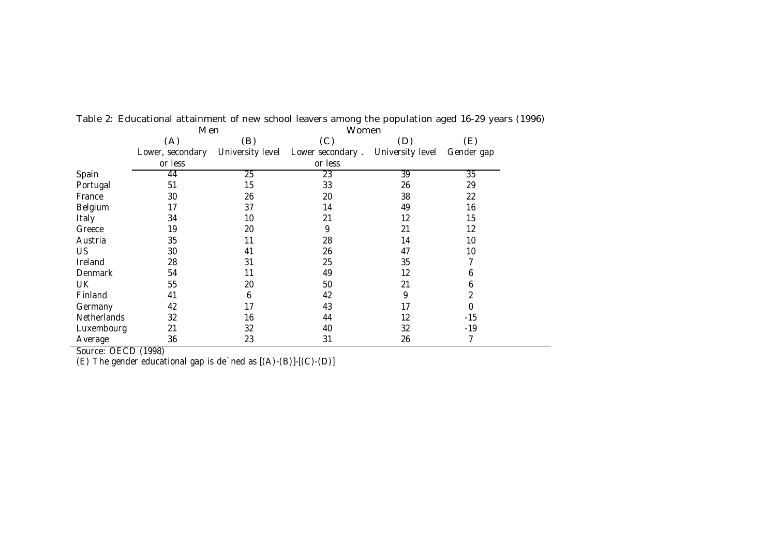|                    | <b>Nen</b>       |                  | vvomen           |                  |                 |
|--------------------|------------------|------------------|------------------|------------------|-----------------|
|                    | (A)              | (B)              | (C)              | (D)              | (E)             |
|                    | Lower, secondary | University level | Lower secondary. | University level | Gender gap      |
|                    | or less          |                  | or less          |                  |                 |
| Spain              | 44               | $\overline{25}$  | $\overline{23}$  | 39               | $\overline{35}$ |
| Portugal           | 51               | 15               | 33               | 26               | 29              |
| France             | 30               | 26               | 20               | 38               | 22              |
| Belgium            | 17               | 37               | 14               | 49               | 16              |
| Italy              | 34               | 10               | 21               | 12               | 15              |
| Greece             | 19               | 20               | 9                | 21               | 12              |
| Austria            | 35               | 11               | 28               | 14               | 10              |
| <b>US</b>          | 30               | 41               | 26               | 47               | 10              |
| Ireland            | 28               | 31               | 25               | 35               |                 |
| Denmark            | 54               | 11               | 49               | 12               | 6               |
| UK                 | 55               | 20               | 50               | 21               | 6               |
| Finland            | 41               | 6                | 42               | 9                | 2               |
| Germany            | 42               | 17               | 43               | 17               | 0               |
| <b>Netherlands</b> | 32               | 16               | 44               | 12               | $-15$           |
| Luxembourg         | 21               | 32               | 40               | 32               | $-19$           |
| Average            | 36               | 23               | 31               | 26               | 7               |

Table 2: Educational attainment of new school leavers among the population aged 16-29 years (1996) Men Women

Source: OECD (1998)

(E) The gender educational gap is de¯ned as [(A)-(B)]-[(C)-(D)]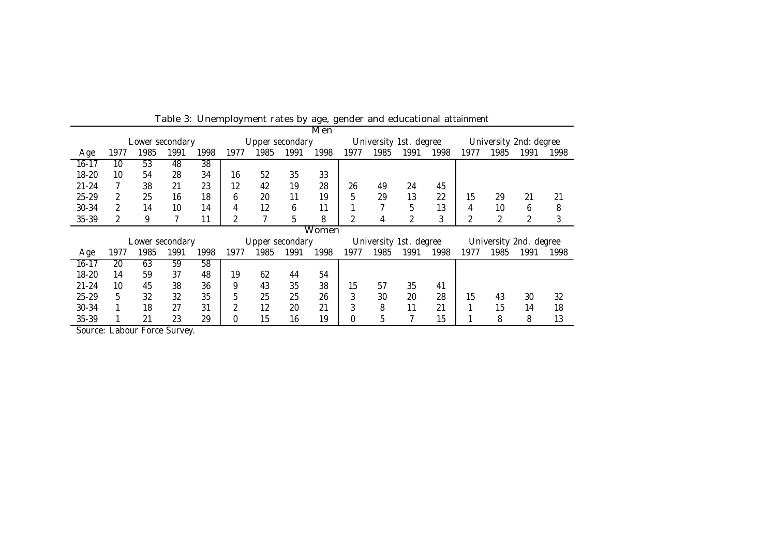|           |               |                 |      |      |      | rapic of Orientprogramma rates by age, genuer and caucational attainment |      | Men   |      |                        |      |      |                        |      |                        |      |
|-----------|---------------|-----------------|------|------|------|--------------------------------------------------------------------------|------|-------|------|------------------------|------|------|------------------------|------|------------------------|------|
|           |               | Lower secondary |      |      |      | Upper secondary                                                          |      |       |      | University 1st. degree |      |      | University 2nd: degree |      |                        |      |
| Age       | 1977          | 1985            | 1991 | 1998 | 1977 | 1985                                                                     | 1991 | 1998  | 1977 | 1985                   | 1991 | 1998 | 1977                   | 1985 | 1991                   | 1998 |
| $16 - 17$ | 10            | 53              | 48   | 38   |      |                                                                          |      |       |      |                        |      |      |                        |      |                        |      |
| 18-20     | 10            | 54              | 28   | 34   | 16   | 52                                                                       | 35   | 33    |      |                        |      |      |                        |      |                        |      |
| $21 - 24$ |               | 38              | 21   | 23   | 12   | 42                                                                       | 19   | 28    | 26   | 49                     | 24   | 45   |                        |      |                        |      |
| $25 - 29$ | $\mathcal{P}$ | 25              | 16   | 18   | 6    | 20                                                                       | 11   | 19    | 5    | 29                     | 13   | 22   | 15                     | 29   | 21                     | 21   |
| 30-34     | $\mathcal{P}$ | 14              | 10   | 14   | 4    | 12                                                                       | 6    | 11    |      |                        | 5    | 13   | 4                      | 10   | 6                      | 8    |
| 35-39     | 2             | 9               |      | 11   | 2    |                                                                          | 5    | 8     | 2    | 4                      | 2    | 3    |                        |      | 2                      | 3    |
|           |               |                 |      |      |      |                                                                          |      | Women |      |                        |      |      |                        |      |                        |      |
|           |               | Lower secondary |      |      |      | Upper secondary                                                          |      |       |      | University 1st. degree |      |      |                        |      | University 2nd. degree |      |
| Age       | 1977          | 1985            | 1991 | 1998 | 1977 | 1985                                                                     | 1991 | 1998  | 1977 | 1985                   | 1991 | 1998 | 1977                   | 1985 | 1991                   | 1998 |
| $16 - 17$ | 20            | 63              | 59   | 58   |      |                                                                          |      |       |      |                        |      |      |                        |      |                        |      |
| $18 - 20$ | 14            | 59              | 37   | 48   | 19   | 62                                                                       | 44   | 54    |      |                        |      |      |                        |      |                        |      |
| $21 - 24$ | 10            | 45              | 38   | 36   | 9    | 43                                                                       | 35   | 38    | 15   | 57                     | 35   | 41   |                        |      |                        |      |
| $25 - 29$ | 5             | 32              | 32   | 35   | 5    | 25                                                                       | 25   | 26    | 3    | 30                     | 20   | 28   | 15                     | 43   | 30                     | 32   |
| 30-34     |               | 18              | 27   | 31   | 2    | 12                                                                       | 20   | 21    | 3    | 8                      | 11   | 21   |                        | 15   | 14                     | 18   |
| 35-39     |               | 21              | 23   | 29   | 0    | 15                                                                       | 16   | 19    | 0    | 5                      |      | 15   |                        | 8    | 8                      | 13   |

Table 3: Unemployment rates by age, gender and educational attainment

Source: Labour Force Survey.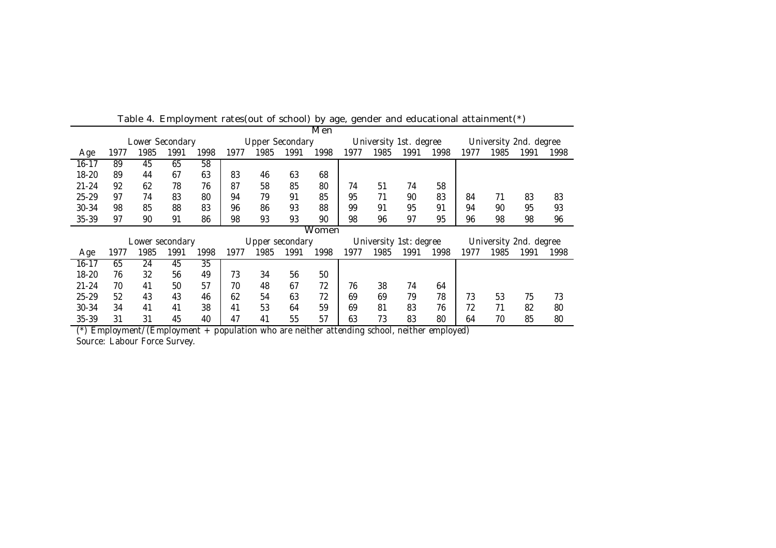|           |      |                 | _p.v <i>.</i> |                 | $\cdots$ |                        | " " " " " " " " " " " " " " | Men   | $\sim$ y ago, goriao. |                        |      |      | $\frac{1}{2}$ or season for the set of the set of $\frac{1}{2}$ |                        |      |      |
|-----------|------|-----------------|---------------|-----------------|----------|------------------------|-----------------------------|-------|-----------------------|------------------------|------|------|-----------------------------------------------------------------|------------------------|------|------|
|           |      | Lower Secondary |               |                 |          | <b>Upper Secondary</b> |                             |       |                       | University 1st. degree |      |      |                                                                 | University 2nd. degree |      |      |
| Age       | 1977 | 1985            | 1991          | 1998            | 1977     | 1985                   | 1991                        | 1998  | 1977                  | 1985                   | 1991 | 1998 | 1977                                                            | 1985                   | 1991 | 1998 |
| $16 - 17$ | 89   | 45              | 65            | 58              |          |                        |                             |       |                       |                        |      |      |                                                                 |                        |      |      |
| 18-20     | 89   | 44              | 67            | 63              | 83       | 46                     | 63                          | 68    |                       |                        |      |      |                                                                 |                        |      |      |
| $21 - 24$ | 92   | 62              | 78            | 76              | 87       | 58                     | 85                          | 80    | 74                    | 51                     | 74   | 58   |                                                                 |                        |      |      |
| $25 - 29$ | 97   | 74              | 83            | 80              | 94       | 79                     | 91                          | 85    | 95                    | 71                     | 90   | 83   | 84                                                              | 71                     | 83   | 83   |
| $30 - 34$ | 98   | 85              | 88            | 83              | 96       | 86                     | 93                          | 88    | 99                    | 91                     | 95   | 91   | 94                                                              | 90                     | 95   | 93   |
| 35-39     | 97   | 90              | 91            | 86              | 98       | 93                     | 93                          | 90    | 98                    | 96                     | 97   | 95   | 96                                                              | 98                     | 98   | 96   |
|           |      |                 |               |                 |          |                        |                             | Women |                       |                        |      |      |                                                                 |                        |      |      |
|           |      | Lower secondary |               |                 |          | Upper secondary        |                             |       |                       | University 1st: degree |      |      |                                                                 | University 2nd. degree |      |      |
| Age       | 1977 | 1985            | 1991          | 1998            | 1977     | 1985                   | 1991                        | 1998  | 1977                  | 1985                   | 1991 | 1998 | 1977                                                            | 1985                   | 1991 | 1998 |
| $16 - 17$ | 65   | 24              | 45            | $\overline{35}$ |          |                        |                             |       |                       |                        |      |      |                                                                 |                        |      |      |
| 18-20     | 76   | 32              | 56            | 49              | 73       | 34                     | 56                          | 50    |                       |                        |      |      |                                                                 |                        |      |      |
| $21 - 24$ | 70   | 41              | 50            | 57              | 70       | 48                     | 67                          | 72    | 76                    | 38                     | 74   | 64   |                                                                 |                        |      |      |
| $25 - 29$ | 52   | 43              | 43            | 46              | 62       | 54                     | 63                          | 72    | 69                    | 69                     | 79   | 78   | 73                                                              | 53                     | 75   | 73   |
| 30-34     | 34   | 41              | 41            | 38              | 41       | 53                     | 64                          | 59    | 69                    | 81                     | 83   | 76   | 72                                                              | 71                     | 82   | 80   |
| 35-39     | 31   | 31              | 45            | 40              | 47       | 41                     | 55                          | 57    | 63                    | 73                     | 83   | 80   | 64                                                              | 70                     | 85   | 80   |

Table 4. Employment rates(out of school) by age, gender and educational attainment(\*)

(\*) Employment/(Employment + population who are neither attending school, neither employed) Source: Labour Force Survey.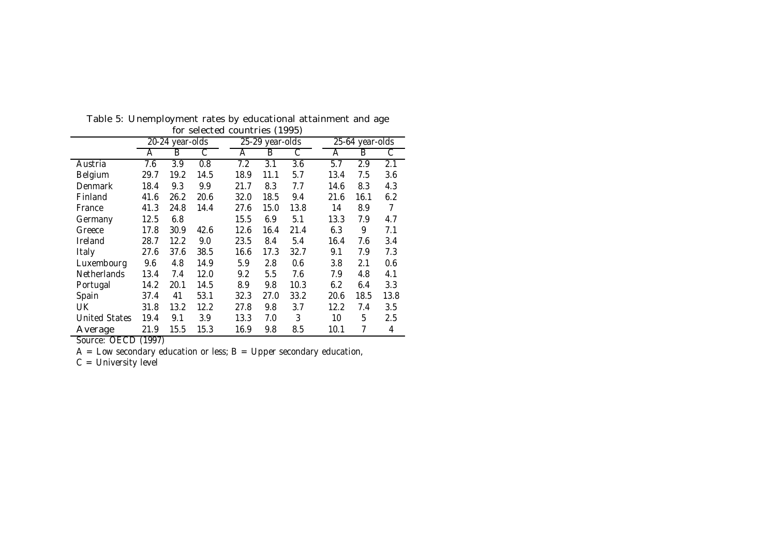|                      |      | 20-24 year-olds | $50100100$ $0001111000$ |      | 25-29 year-olds  |      |      | $25-64$ year-olds |      |
|----------------------|------|-----------------|-------------------------|------|------------------|------|------|-------------------|------|
|                      | A    | B               | С                       | A    | в                | С    | A    | B                 | С    |
| Austria              | 7.6  | 3.9             | 0.8                     | 7.2  | $\overline{3.1}$ | 3.6  | 5.7  | 2.9               | 2.1  |
| Belgium              | 29.7 | 19.2            | 14.5                    | 18.9 | 11.1             | 5.7  | 13.4 | 7.5               | 3.6  |
| Denmark              | 18.4 | 9.3             | 9.9                     | 21.7 | 8.3              | 7.7  | 14.6 | 8.3               | 4.3  |
| Finland              | 41.6 | 26.2            | 20.6                    | 32.0 | 18.5             | 9.4  | 21.6 | 16.1              | 6.2  |
| France               | 41.3 | 24.8            | 14.4                    | 27.6 | 15.0             | 13.8 | 14   | 8.9               | 7    |
| Germany              | 12.5 | 6.8             |                         | 15.5 | 6.9              | 5.1  | 13.3 | 7.9               | 4.7  |
| Greece               | 17.8 | 30.9            | 42.6                    | 12.6 | 16.4             | 21.4 | 6.3  | 9                 | 7.1  |
| Ireland              | 28.7 | 12.2            | 9.0                     | 23.5 | 8.4              | 5.4  | 16.4 | 7.6               | 3.4  |
| Italy                | 27.6 | 37.6            | 38.5                    | 16.6 | 17.3             | 32.7 | 9.1  | 7.9               | 7.3  |
| Luxembourg           | 9.6  | 4.8             | 14.9                    | 5.9  | 2.8              | 0.6  | 3.8  | 2.1               | 0.6  |
| Netherlands          | 13.4 | 7.4             | 12.0                    | 9.2  | 5.5              | 7.6  | 7.9  | 4.8               | 4.1  |
| Portugal             | 14.2 | 20.1            | 14.5                    | 8.9  | 9.8              | 10.3 | 6.2  | 6.4               | 3.3  |
| Spain                | 37.4 | 41              | 53.1                    | 32.3 | 27.0             | 33.2 | 20.6 | 18.5              | 13.8 |
| UK.                  | 31.8 | 13.2            | 12.2                    | 27.8 | 9.8              | 3.7  | 12.2 | 7.4               | 3.5  |
| <b>United States</b> | 19.4 | 9.1             | 3.9                     | 13.3 | 7.0              | 3    | 10   | 5                 | 2.5  |
| Average              | 21.9 | 15.5            | 15.3                    | 16.9 | 9.8              | 8.5  | 10.1 | 7                 | 4    |

Table 5: Unemployment rates by educational attainment and age for selected countries (1995)

Source: OECD (1997)

 $A =$  Low secondary education or less;  $B = U$ pper secondary education,

C = University level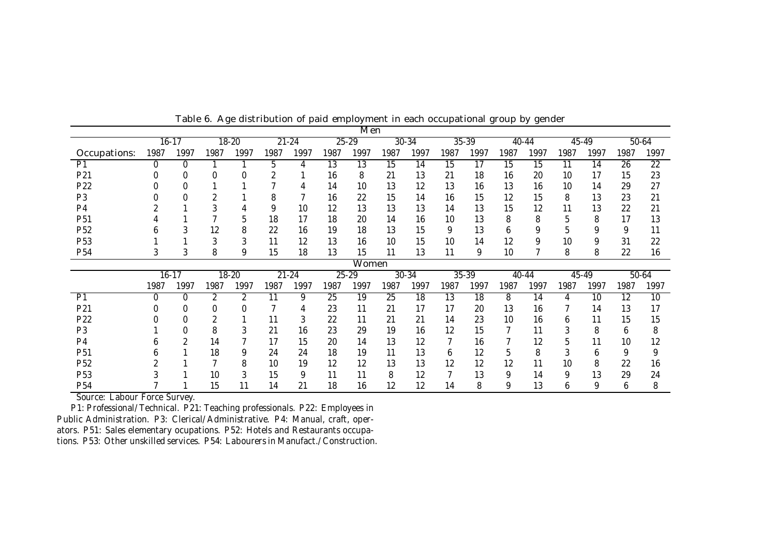|                 |              |             |      |           |           |           |      | Men             |                 |       |           |       |       |       |      |       |      |                 |
|-----------------|--------------|-------------|------|-----------|-----------|-----------|------|-----------------|-----------------|-------|-----------|-------|-------|-------|------|-------|------|-----------------|
|                 |              | $16 - 17$   |      | $18 - 20$ |           | $21 - 24$ |      | $25 - 29$       |                 | 30-34 |           | 35-39 |       | 40-44 |      | 45-49 |      | 50-64           |
| Occupations:    | 1987         | 1997        | 1987 | 1997      | 1987      | 1997      | 1987 | 1997            | 1987            | 1997  | 1987      | 1997  | 1987  | 1997  | 1987 | 1997  | 1987 | 1997            |
| P <sub>1</sub>  | 0            | $\mathbf 0$ |      |           | 5         | 4         | 13   | $\overline{13}$ | $\overline{15}$ | 14    | 15        | 17    | 15    | 15    | 11   | 14    | 26   | $\overline{22}$ |
| P21             |              |             |      |           | 2         |           | 16   | 8               | 21              | 13    | 21        | 18    | 16    | 20    | 10   | 17    | 15   | 23              |
| P22             |              |             |      |           |           |           | 14   | 10              | 13              | 12    | 13        | 16    | 13    | 16    | 10   | 14    | 29   | 27              |
| P <sub>3</sub>  |              |             |      |           | 8         |           | 16   | 22              | 15              | 14    | 16        | 15    | 12    | 15    | 8    | 13    | 23   | 21              |
| P <sub>4</sub>  |              |             | 3    |           | 9         | 10        | 12   | 13              | 13              | 13    | 14        | 13    | 15    | 12    | 11   | 13    | 22   | 21              |
| P <sub>51</sub> |              |             |      | 5         | 18        | 17        | 18   | 20              | 14              | 16    | 10        | 13    | 8     | 8     | 5    | 8     | 17   | 13              |
| P <sub>52</sub> | n            |             | 12   | 8         | 22        | 16        | 19   | 18              | 13              | 15    | 9         | 13    | 6     | 9     | 5    | 9     | 9    | 11              |
| P <sub>53</sub> |              |             | 3    | 3         | 11        | 12        | 13   | 16              | 10              | 15    | 10        | 14    | 12    | 9     | 10   | 9     | 31   | 22              |
| P <sub>54</sub> |              | 3           | 8    | 9         | 15        | 18        | 13   | 15              | 11              | 13    | 11        | 9     | 10    |       | 8    | 8     | 22   | 16              |
|                 |              |             |      |           |           |           |      | <b>Women</b>    |                 |       |           |       |       |       |      |       |      |                 |
|                 |              | $16 - 17$   |      | $18 - 20$ | $21 - 24$ |           |      | $25 - 29$       | 30-34           |       | $35 - 39$ |       | 40-44 |       |      | 45-49 |      | 50-64           |
|                 |              |             |      |           |           |           |      |                 |                 |       |           |       |       |       |      |       |      |                 |
|                 | 1987         | 1997        | 1987 | 1997      | 1987      | 1997      | 1987 | 1997            | 1987            | 1997  | 1987      | 1997  | 1987  | 1997  | 1987 | 1997  | 1987 | 1997            |
| P <sub>1</sub>  | 0            | $\Omega$    | 2    | 2         | 11        | 9         | 25   | 19              | $\overline{25}$ | 18    | 13        | 18    | 8     | 14    | 4    | 10    | 12   | 10              |
| P21             |              | 0           | 0    |           |           | 4         | 23   | 11              | 21              | 17    | 17        | 20    | 13    | 16    |      | 14    | 13   | 17              |
| P22             |              | 0           | 2    |           | 11        | 3         | 22   | 11              | 21              | 21    | 14        | 23    | 10    | 16    | 6    | 11    | 15   | 15              |
| P <sub>3</sub>  |              | 0           | 8    | 3         | 21        | 16        | 23   | 29              | 19              | 16    | 12        | 15    |       | 11    | 3    | 8     | 6    | 8               |
| P <sub>4</sub>  | <sub>n</sub> | 2           | 14   |           | 17        | 15        | 20   | 14              | 13              | 12    |           | 16    |       | 12    | 5    | 11    | 10   | 12              |
| P <sub>51</sub> |              |             | 18   | 9         | 24        | 24        | 18   | 19              | 11              | 13    | 6         | 12    | 5     | 8     | 3    | 6     | 9    | 9               |
| P <sub>52</sub> |              |             |      | 8         | 10        | 19        | 12   | 12              | 13              | 13    | 12        | 12    | 12    | 11    | 10   | 8     | 22   | 16              |
| P <sub>53</sub> |              |             | 10   | 3         | 15        | 9         | 11   | 11              | 8               | 12    |           | 13    | 9     | 14    | 9    | 13    | 29   | 24              |

Table 6. Age distribution of paid employment in each occupational group by gender

Source: Labour Force Survey.

P1: Professional/Technical. P21: Teaching professionals. P22: Employees in Public Administration. P3: Clerical/Administrative. P4: Manual, craft, operators. P51: Sales elementary ocupations. P52: Hotels and Restaurants occupations. P53: Other unskilled services. P54: Labourers in Manufact./Construction.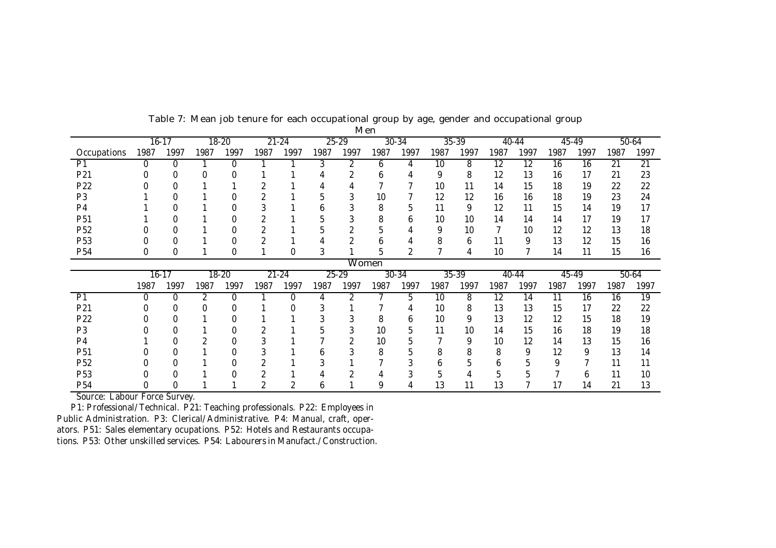|                 |           | $16-17$ |      | $18 - 20$ |      | $21 - 24$ |              | $25 - 29$      |              | $30 - 34$    |      | $35 - 39$ |                 | 40-44     |      | $45 - 49$ |      | $50-64$         |
|-----------------|-----------|---------|------|-----------|------|-----------|--------------|----------------|--------------|--------------|------|-----------|-----------------|-----------|------|-----------|------|-----------------|
| Occupations     | 1987      | 1997    | 1987 | 1997      | 1987 | 1997      | 1987         | 1997           | 1987         | 1997         | 1987 | 1997      | 1987            | 1997      | 1987 | 1997      | 1987 | 1997            |
| P1              | 0         | 0       |      | $\Omega$  |      |           | 3            | $\overline{2}$ | 6            | 4            | 10   | 8         | 12              | 12        | 16   | 16        | 21   | $\overline{21}$ |
| P21             |           |         |      |           |      |           |              |                | <sub>n</sub> |              | 9    | 8         | 12              | 13        | 16   | 17        | 21   | 23              |
| P22             |           |         |      |           |      |           |              |                |              |              | 10   | 11        | 14              | 15        | 18   | 19        | 22   | 22              |
| P <sub>3</sub>  |           |         |      |           |      |           |              |                | 10           |              | 12   | 12        | 16              | 16        | 18   | 19        | 23   | 24              |
| P <sub>4</sub>  |           |         |      |           |      |           |              |                | 8            | 5            | 11   | 9         | 12              | 11        | 15   | 14        | 19   | 17              |
| P <sub>51</sub> |           |         |      |           |      |           |              | 3              | 8            | <sub>0</sub> | 10   | 10        | 14              | 14        | 14   | 17        | 19   | 17              |
| P <sub>52</sub> |           |         |      |           |      |           |              |                |              |              | 9    | 10        | 7               | 10        | 12   | 12        | 13   | 18              |
| P <sub>53</sub> |           |         |      |           |      |           |              | ኅ              | <sub>6</sub> |              | 8    | 6         | 11              | 9         | 13   | 12        | 15   | 16              |
| P <sub>54</sub> | 0         | 0       |      | 0         |      | 0         |              |                | 5            |              |      | 4         | 10              |           | 14   | 11        | 15   | 16              |
|                 |           |         |      |           |      |           |              |                | Women        |              |      |           |                 |           |      |           |      |                 |
|                 | $16 - 17$ |         |      | $18 - 20$ |      | $21 - 24$ |              | $25 - 29$      |              | $30 - 34$    |      | $35 - 39$ |                 | $40 - 44$ |      | $45 - 49$ |      | $50-64$         |
|                 | 1987      | 1997    | 1987 | 1997      | 1987 | 1997      | 1987         | 1997           | 1987         | 1997         | 1987 | 1997      | 1987            | 1997      | 1987 | 1997      | 1987 | 1997            |
| P1              | $\Omega$  | 0       | 2    | 0         |      | 0         |              | 2              |              | 5            | 10   | 8         | $\overline{12}$ | 14        | 11   | 16        | 16   | 19              |
| P21             |           |         |      |           |      |           |              |                |              |              | 10   | 8         | 13              | 13        | 15   | 17        | 22   | 22              |
| P22             |           |         |      |           |      |           |              |                | 8            | 6            | 10   | 9         | 13              | 12        | 12   | 15        | 18   | 19              |
| P <sub>3</sub>  |           |         |      |           |      |           |              |                | 10           | 5            | 11   | 10        | 14              | 15        | 16   | 18        | 19   | 18              |
| P <sub>4</sub>  |           |         |      |           | 3    |           |              |                | 10           | 5            |      | 9         | 10              | 12        | 14   | 13        | 15   | 16              |
| P <sub>51</sub> |           |         |      |           |      |           | n            |                | 8            | 5            | 8    | 8         | 8               | 9         | 12   | 9         | 13   | 14              |
| P <sub>52</sub> |           |         |      |           |      |           |              |                |              | 3            | h    |           | h               |           | 9    |           | 11   | 11              |
| P <sub>53</sub> |           |         |      |           |      |           |              |                |              | 3            | 5    | 4         | 5               |           |      | b         | 11   | 10              |
| P <sub>54</sub> |           |         |      |           | 2    |           | <sub>0</sub> |                | 9            |              | 13   | 11        | 13              |           | 17   | 14        | 21   | 13              |

Table 7: Mean job tenure for each occupational group by age, gender and occupational group Men

Source: Labour Force Survey.

P1: Professional/Technical. P21: Teaching professionals. P22: Employees in Public Administration. P3: Clerical/Administrative. P4: Manual, craft, operators. P51: Sales elementary ocupations. P52: Hotels and Restaurants occupations. P53: Other unskilled services. P54: Labourers in Manufact./Construction.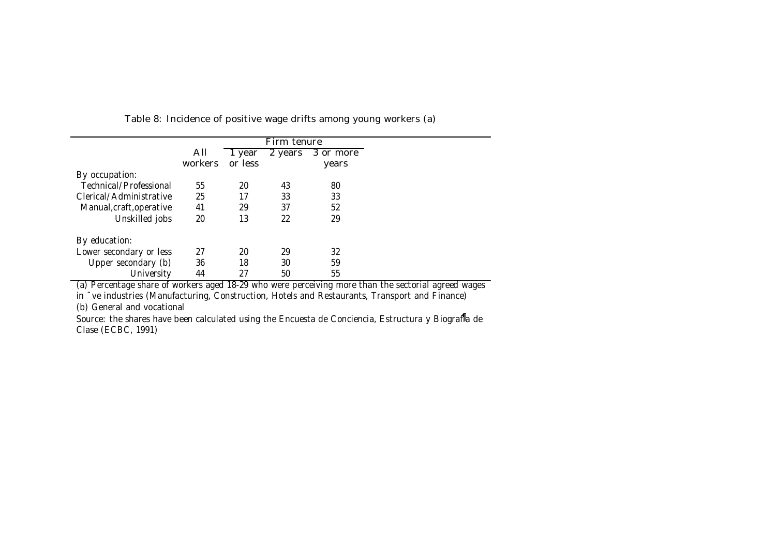|                          |         |         | Firm tenure |           |
|--------------------------|---------|---------|-------------|-----------|
|                          | All     | 1 year  | 2 years     | 3 or more |
|                          | workers | or less |             | years     |
| By occupation:           |         |         |             |           |
| Technical/Professional   | 55      | 20      | 43          | 80        |
| Clerical/Administrative  | 25      | 17      | 33          | 33        |
| Manual, craft, operative | 41      | 29      | 37          | 52        |
| Unskilled jobs           | 20      | 13      | 22          | 29        |
| By education:            |         |         |             |           |
| Lower secondary or less  | 27      | 20      | 29          | 32        |
| Upper secondary (b)      | 36      | 18      | 30          | 59        |
| University               | 44      | 27      | 50          | 55        |

Table 8: Incidence of positive wage drifts among young workers (a)

(a) Percentage share of workers aged 18-29 who were perceiving more than the sectorial agreed wages

in ¯ve industries (Manufacturing, Construction, Hotels and Restaurants, Transport and Finance)

(b) General and vocational

Source: the shares have been calculated using the Encuesta de Conciencia, Estructura y Biografla de Clase (ECBC, 1991)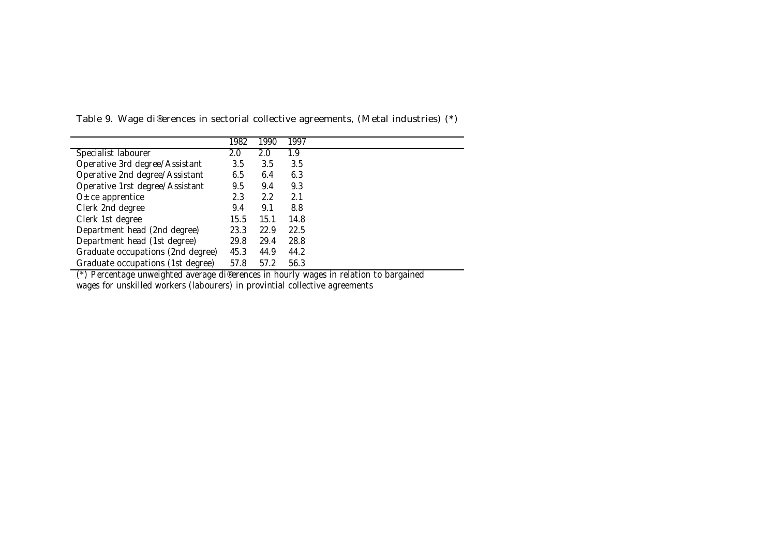|                                   | 1982 | 1990 | 1997 |
|-----------------------------------|------|------|------|
| Specialist labourer               | 2.0  | 2.0  | 1.9  |
| Operative 3rd degree/Assistant    | 3.5  | 3.5  | 3.5  |
| Operative 2nd degree/Assistant    | 6.5  | 6.4  | 6.3  |
| Operative 1rst degree/Assistant   | 9.5  | 9.4  | 9.3  |
| $O \pm ce$ apprentice             | 2.3  | 2.2  | 2.1  |
| Clerk 2nd degree                  | 9.4  | 9.1  | 8.8  |
| Clerk 1st degree                  | 15.5 | 15.1 | 14.8 |
| Department head (2nd degree)      | 23.3 | 22.9 | 22.5 |
| Department head (1st degree)      | 29.8 | 29.4 | 28.8 |
| Graduate occupations (2nd degree) | 45.3 | 44.9 | 44.2 |
| Graduate occupations (1st degree) | 57.8 | 57.2 | 56.3 |

Table 9. Wage di®erences in sectorial collective agreements, (Metal industries) (\*)

(\*) Percentage unweighted average di®erences in hourly wages in relation to bargained wages for unskilled workers (labourers) in provintial collective agreements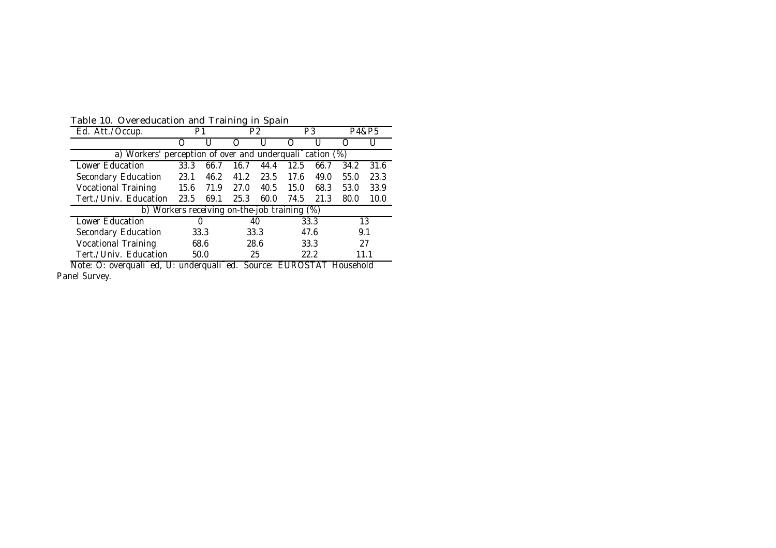| Table 10. Overeducation and Training in Spain |  |  |  |
|-----------------------------------------------|--|--|--|
|-----------------------------------------------|--|--|--|

| rapic to: Overcadeation and training in opain                                                          |      |      |      |      |      |      |      |       |  |  |  |
|--------------------------------------------------------------------------------------------------------|------|------|------|------|------|------|------|-------|--|--|--|
| Ed. Att./Occup.                                                                                        |      | P1   |      | P2   |      | P3   |      | P4&P5 |  |  |  |
|                                                                                                        | ()   |      | ( )  |      |      |      |      |       |  |  |  |
| a) Workers' perception of over and underquali <sup>-</sup> cation (%)                                  |      |      |      |      |      |      |      |       |  |  |  |
| Lower Education<br>33.3<br>31.6<br>44.4<br>12.5<br>34.2<br>66.7<br>16.7<br>66.7                        |      |      |      |      |      |      |      |       |  |  |  |
| Secondary Education                                                                                    | 23.1 | 46.2 | 41.2 | 23.5 | 17.6 | 49.0 | 55.0 | 23.3  |  |  |  |
| <b>Vocational Training</b>                                                                             | 15.6 | 71.9 | 27.0 | 40.5 | 15.0 | 68.3 | 53.0 | 33.9  |  |  |  |
| Tert./Univ. Education                                                                                  | 23.5 | 69.1 | 25.3 | 60.0 | 74.5 | 21.3 | 80.0 | 10.0  |  |  |  |
| b) Workers receiving on-the-job training (%)                                                           |      |      |      |      |      |      |      |       |  |  |  |
| Lower Education                                                                                        |      | 0    |      | 40   |      | 33.3 |      | 13    |  |  |  |
| Secondary Education                                                                                    |      | 33.3 |      | 33.3 |      | 47.6 | 9.1  |       |  |  |  |
| <b>Vocational Training</b>                                                                             | 68.6 |      |      | 28.6 |      | 33.3 | 27   |       |  |  |  |
| Tert./Univ. Education<br>50.0<br>25<br>22.2<br>11.1                                                    |      |      |      |      |      |      |      |       |  |  |  |
| Note: O: overquali <sup>-</sup> ed, U: underquali <sup>-</sup> ed.<br>Source:<br>EUROSTAT<br>Household |      |      |      |      |      |      |      |       |  |  |  |

Note: O: overquali¯ed, U: underquali¯ed. Source: EUROSTAT Household Panel Survey.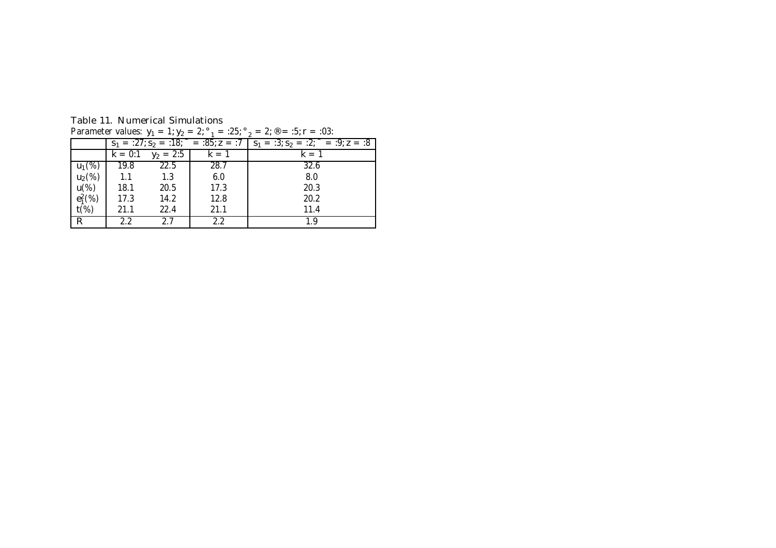| Parameter values: $y_1 = 1$ ; $y_2 = 2$ ; $\degree_1 = 25$ ; $\degree_2 = 2$ ; $\degree = 15$ ; r = 1.03: |        |                                 |      |                                                                                                        |  |  |  |  |  |
|-----------------------------------------------------------------------------------------------------------|--------|---------------------------------|------|--------------------------------------------------------------------------------------------------------|--|--|--|--|--|
|                                                                                                           |        |                                 |      | $S_1 = 27$ ; $S_2 = 18$ ; $\bar{ }$ = $25$ ; $z = 7$ $S_1 = 2$ ; $S_2 = 2$ ; $\bar{ }$ = $2$ ; $z = 8$ |  |  |  |  |  |
|                                                                                                           |        | $k = 0:1$ $y_2 = 2:5$   $k = 1$ |      | $k = 1$                                                                                                |  |  |  |  |  |
| $u_1(\%)$                                                                                                 | 19.8   | 22.5                            | 28.7 | 32.6                                                                                                   |  |  |  |  |  |
| $u_2(\%)$                                                                                                 | $-1.1$ | 1.3                             | 6.0  | 8.0                                                                                                    |  |  |  |  |  |
| u(%)                                                                                                      | 18.1   | 20.5                            | 17.3 | 20.3                                                                                                   |  |  |  |  |  |
| $e_1^2(\%)$                                                                                               | 17.3   | 14.2                            | 12.8 | 20.2                                                                                                   |  |  |  |  |  |
| $t$ (%)                                                                                                   | 21.1   | 22.4                            | 21.1 | 11.4                                                                                                   |  |  |  |  |  |
| R.                                                                                                        | 22     | 27                              | 22   | 1 Q                                                                                                    |  |  |  |  |  |

Table 11. Numerical Simulations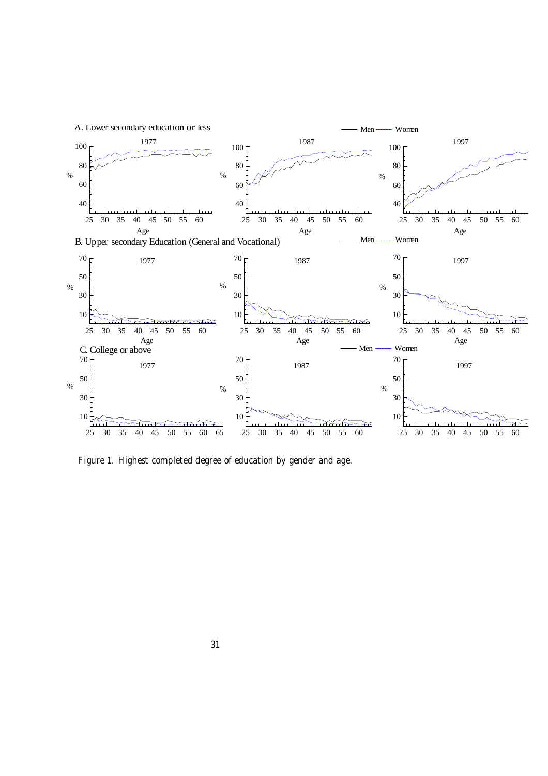

Figure 1. Highest completed degree of education by gender and age.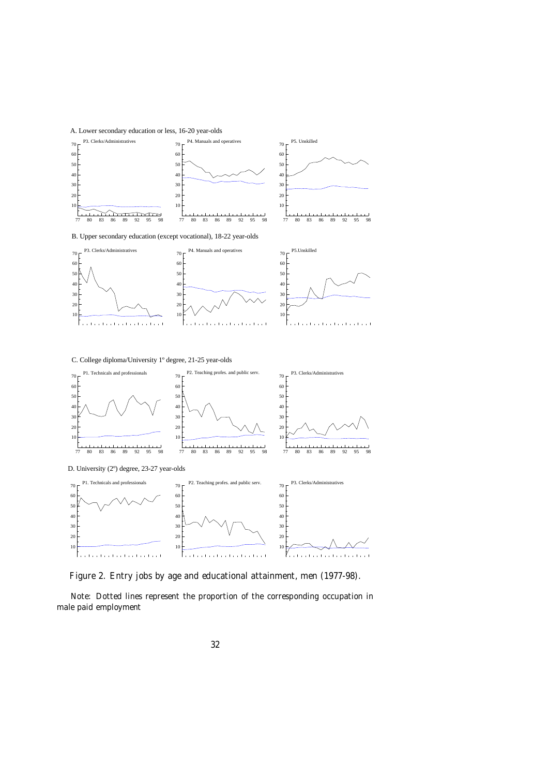A. Lower secondary education or less, 16-20 year-olds



B. Upper secondary education (except vocational), 18-22 year-olds



C. College diploma/University 1º degree, 21-25 year-olds



Figure 2. Entry jobs by age and educational attainment, men (1977-98).

Note: Dotted lines represent the proportion of the corresponding occupation in male paid employment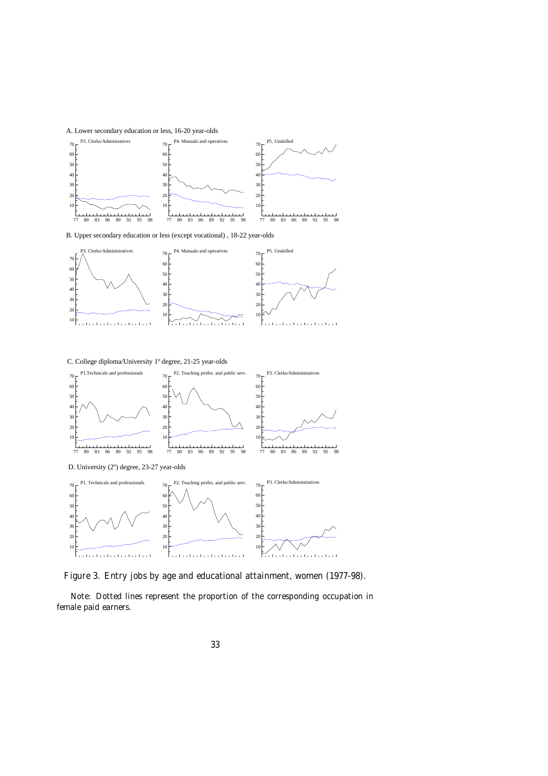

B. Upper secondary education or less (except vocational) , 18-22 year-olds



C. College diploma/University 1º degree, 21-25 year-olds



Figure 3. Entry jobs by age and educational attainment, women (1977-98).

Note: Dotted lines represent the proportion of the corresponding occupation in female paid earners.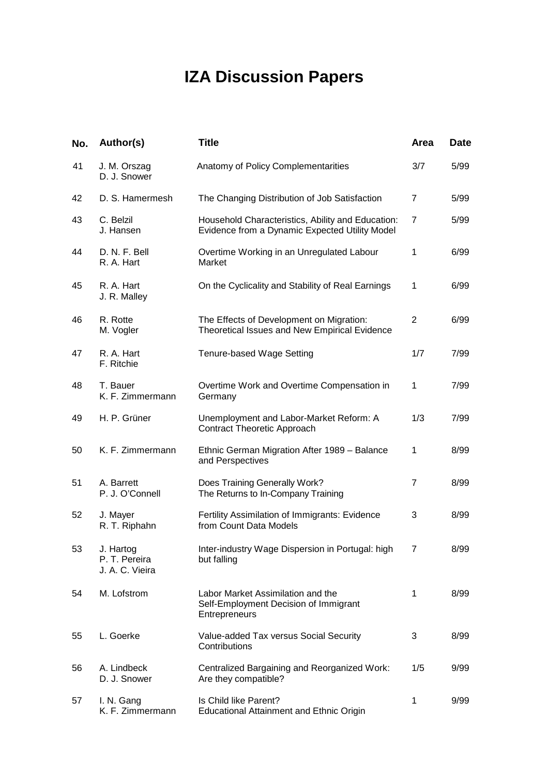# **IZA Discussion Papers**

| No. | Author(s)                                     | <b>Title</b>                                                                                        | Area           | Date |
|-----|-----------------------------------------------|-----------------------------------------------------------------------------------------------------|----------------|------|
| 41  | J. M. Orszag<br>D. J. Snower                  | Anatomy of Policy Complementarities                                                                 | 3/7            | 5/99 |
| 42  | D. S. Hamermesh                               | The Changing Distribution of Job Satisfaction                                                       | 7              | 5/99 |
| 43  | C. Belzil<br>J. Hansen                        | Household Characteristics, Ability and Education:<br>Evidence from a Dynamic Expected Utility Model | $\overline{7}$ | 5/99 |
| 44  | D. N. F. Bell<br>R. A. Hart                   | Overtime Working in an Unregulated Labour<br>Market                                                 | 1              | 6/99 |
| 45  | R. A. Hart<br>J. R. Malley                    | On the Cyclicality and Stability of Real Earnings                                                   | 1              | 6/99 |
| 46  | R. Rotte<br>M. Vogler                         | The Effects of Development on Migration:<br>Theoretical Issues and New Empirical Evidence           | $\overline{2}$ | 6/99 |
| 47  | R. A. Hart<br>F. Ritchie                      | <b>Tenure-based Wage Setting</b>                                                                    | 1/7            | 7/99 |
| 48  | T. Bauer<br>K. F. Zimmermann                  | Overtime Work and Overtime Compensation in<br>Germany                                               | $\mathbf{1}$   | 7/99 |
| 49  | H. P. Grüner                                  | Unemployment and Labor-Market Reform: A<br><b>Contract Theoretic Approach</b>                       | 1/3            | 7/99 |
| 50  | K. F. Zimmermann                              | Ethnic German Migration After 1989 - Balance<br>and Perspectives                                    | 1              | 8/99 |
| 51  | A. Barrett<br>P. J. O'Connell                 | Does Training Generally Work?<br>The Returns to In-Company Training                                 | $\overline{7}$ | 8/99 |
| 52  | J. Mayer<br>R. T. Riphahn                     | Fertility Assimilation of Immigrants: Evidence<br>from Count Data Models                            | 3              | 8/99 |
| 53  | J. Hartog<br>P. T. Pereira<br>J. A. C. Vieira | Inter-industry Wage Dispersion in Portugal: high<br>but falling                                     |                | 8/99 |
| 54  | M. Lofstrom                                   | Labor Market Assimilation and the<br>Self-Employment Decision of Immigrant<br>Entrepreneurs         | 1              | 8/99 |
| 55  | L. Goerke                                     | Value-added Tax versus Social Security<br>Contributions                                             | 3              | 8/99 |
| 56  | A. Lindbeck<br>D. J. Snower                   | Centralized Bargaining and Reorganized Work:<br>Are they compatible?                                | 1/5            | 9/99 |
| 57  | I. N. Gang<br>K. F. Zimmermann                | Is Child like Parent?<br><b>Educational Attainment and Ethnic Origin</b>                            | 1              | 9/99 |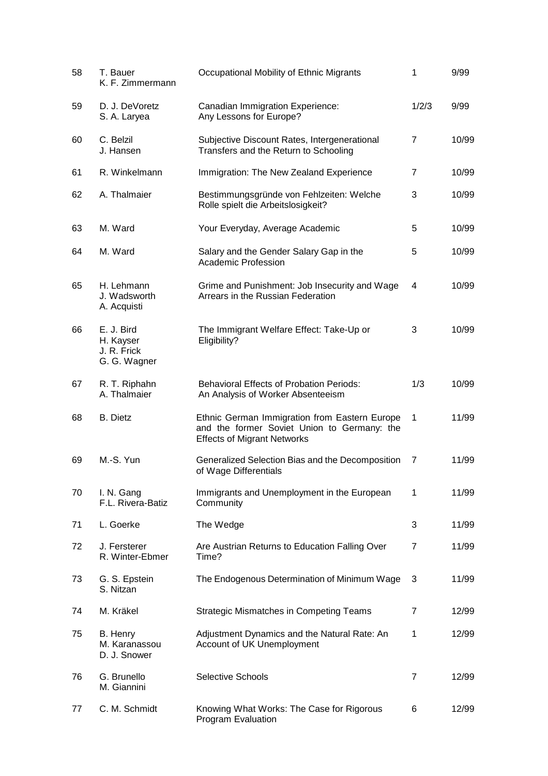| 58 | T. Bauer<br>K. F. Zimmermann                           | Occupational Mobility of Ethnic Migrants                                                                                           | 1              | 9/99  |
|----|--------------------------------------------------------|------------------------------------------------------------------------------------------------------------------------------------|----------------|-------|
| 59 | D. J. DeVoretz<br>S. A. Laryea                         | Canadian Immigration Experience:<br>Any Lessons for Europe?                                                                        | 1/2/3          | 9/99  |
| 60 | C. Belzil<br>J. Hansen                                 | Subjective Discount Rates, Intergenerational<br>Transfers and the Return to Schooling                                              | $\overline{7}$ | 10/99 |
| 61 | R. Winkelmann                                          | Immigration: The New Zealand Experience                                                                                            | $\overline{7}$ | 10/99 |
| 62 | A. Thalmaier                                           | Bestimmungsgründe von Fehlzeiten: Welche<br>Rolle spielt die Arbeitslosigkeit?                                                     | 3              | 10/99 |
| 63 | M. Ward                                                | Your Everyday, Average Academic                                                                                                    | 5              | 10/99 |
| 64 | M. Ward                                                | Salary and the Gender Salary Gap in the<br><b>Academic Profession</b>                                                              | 5              | 10/99 |
| 65 | H. Lehmann<br>J. Wadsworth<br>A. Acquisti              | Grime and Punishment: Job Insecurity and Wage<br>Arrears in the Russian Federation                                                 | 4              | 10/99 |
| 66 | E. J. Bird<br>H. Kayser<br>J. R. Frick<br>G. G. Wagner | The Immigrant Welfare Effect: Take-Up or<br>Eligibility?                                                                           | 3              | 10/99 |
| 67 | R. T. Riphahn<br>A. Thalmaier                          | <b>Behavioral Effects of Probation Periods:</b><br>An Analysis of Worker Absenteeism                                               | 1/3            | 10/99 |
| 68 | <b>B.</b> Dietz                                        | Ethnic German Immigration from Eastern Europe<br>and the former Soviet Union to Germany: the<br><b>Effects of Migrant Networks</b> | 1              | 11/99 |
| 69 | M.-S. Yun                                              | Generalized Selection Bias and the Decomposition<br>of Wage Differentials                                                          | 7              | 11/99 |
| 70 | I. N. Gang<br>F.L. Rivera-Batiz                        | Immigrants and Unemployment in the European<br>Community                                                                           | 1              | 11/99 |
| 71 | L. Goerke                                              | The Wedge                                                                                                                          | 3              | 11/99 |
| 72 | J. Fersterer<br>R. Winter-Ebmer                        | Are Austrian Returns to Education Falling Over<br>Time?                                                                            | $\overline{7}$ | 11/99 |
| 73 | G. S. Epstein<br>S. Nitzan                             | The Endogenous Determination of Minimum Wage                                                                                       | 3              | 11/99 |
| 74 | M. Kräkel                                              | <b>Strategic Mismatches in Competing Teams</b>                                                                                     | $\overline{7}$ | 12/99 |
| 75 | B. Henry<br>M. Karanassou<br>D. J. Snower              | Adjustment Dynamics and the Natural Rate: An<br>Account of UK Unemployment                                                         | 1              | 12/99 |
| 76 | G. Brunello<br>M. Giannini                             | Selective Schools                                                                                                                  | $\overline{7}$ | 12/99 |
| 77 | C. M. Schmidt                                          | Knowing What Works: The Case for Rigorous<br>Program Evaluation                                                                    | 6              | 12/99 |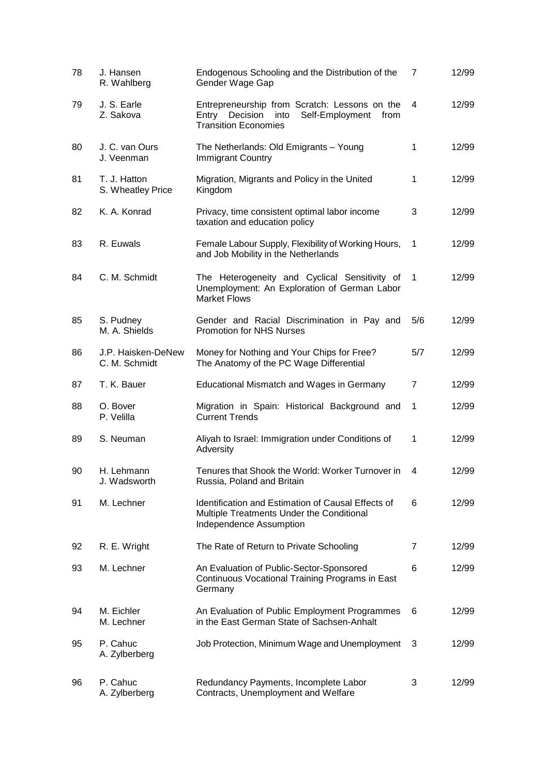| 78 | J. Hansen<br>R. Wahlberg            | Endogenous Schooling and the Distribution of the<br>Gender Wage Gap                                                               | $\overline{7}$ | 12/99 |
|----|-------------------------------------|-----------------------------------------------------------------------------------------------------------------------------------|----------------|-------|
| 79 | J. S. Earle<br>Z. Sakova            | Entrepreneurship from Scratch: Lessons on the<br>Entry Decision<br>into<br>Self-Employment<br>from<br><b>Transition Economies</b> | 4              | 12/99 |
| 80 | J. C. van Ours<br>J. Veenman        | The Netherlands: Old Emigrants - Young<br>Immigrant Country                                                                       | $\mathbf{1}$   | 12/99 |
| 81 | T. J. Hatton<br>S. Wheatley Price   | Migration, Migrants and Policy in the United<br>Kingdom                                                                           | 1              | 12/99 |
| 82 | K. A. Konrad                        | Privacy, time consistent optimal labor income<br>taxation and education policy                                                    | 3              | 12/99 |
| 83 | R. Euwals                           | Female Labour Supply, Flexibility of Working Hours,<br>and Job Mobility in the Netherlands                                        | 1              | 12/99 |
| 84 | C. M. Schmidt                       | The Heterogeneity and Cyclical Sensitivity of<br>Unemployment: An Exploration of German Labor<br><b>Market Flows</b>              | 1              | 12/99 |
| 85 | S. Pudney<br>M. A. Shields          | Gender and Racial Discrimination in Pay and<br><b>Promotion for NHS Nurses</b>                                                    | 5/6            | 12/99 |
| 86 | J.P. Haisken-DeNew<br>C. M. Schmidt | Money for Nothing and Your Chips for Free?<br>The Anatomy of the PC Wage Differential                                             | 5/7            | 12/99 |
| 87 | T. K. Bauer                         | Educational Mismatch and Wages in Germany                                                                                         | $\overline{7}$ | 12/99 |
| 88 | O. Bover<br>P. Velilla              | Migration in Spain: Historical Background and<br><b>Current Trends</b>                                                            | 1              | 12/99 |
| 89 | S. Neuman                           | Aliyah to Israel: Immigration under Conditions of<br>Adversity                                                                    | 1              | 12/99 |
| 90 | H. Lehmann<br>J. Wadsworth          | Tenures that Shook the World: Worker Turnover in<br>Russia, Poland and Britain                                                    | 4              | 12/99 |
| 91 | M. Lechner                          | <b>Identification and Estimation of Causal Effects of</b><br>Multiple Treatments Under the Conditional<br>Independence Assumption | 6              | 12/99 |
| 92 | R. E. Wright                        | The Rate of Return to Private Schooling                                                                                           | $\overline{7}$ | 12/99 |
| 93 | M. Lechner                          | An Evaluation of Public-Sector-Sponsored<br>Continuous Vocational Training Programs in East<br>Germany                            | 6              | 12/99 |
| 94 | M. Eichler<br>M. Lechner            | An Evaluation of Public Employment Programmes<br>in the East German State of Sachsen-Anhalt                                       | 6              | 12/99 |
| 95 | P. Cahuc<br>A. Zylberberg           | Job Protection, Minimum Wage and Unemployment                                                                                     | 3              | 12/99 |
| 96 | P. Cahuc<br>A. Zylberberg           | Redundancy Payments, Incomplete Labor<br>Contracts, Unemployment and Welfare                                                      | 3              | 12/99 |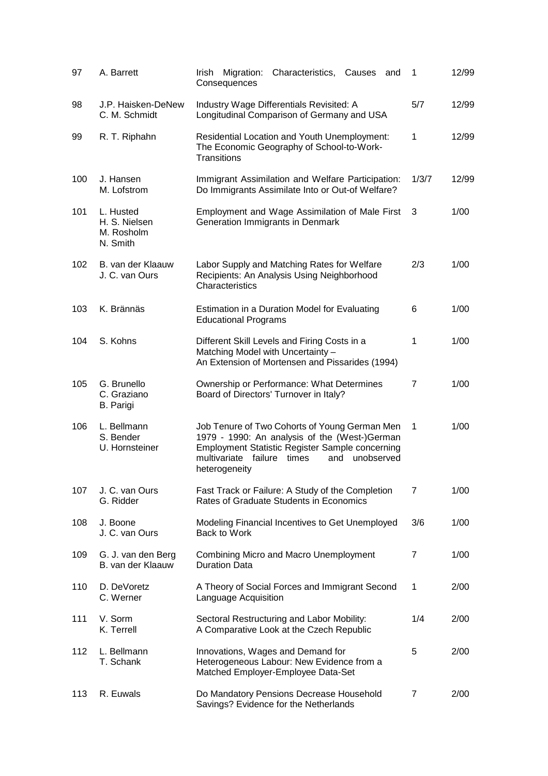| 97  | A. Barrett                                           | Characteristics, Causes<br>Irish<br>Migration:<br>and<br>Consequences                                                                                                                                                           | 1              | 12/99 |
|-----|------------------------------------------------------|---------------------------------------------------------------------------------------------------------------------------------------------------------------------------------------------------------------------------------|----------------|-------|
| 98  | J.P. Haisken-DeNew<br>C. M. Schmidt                  | Industry Wage Differentials Revisited: A<br>Longitudinal Comparison of Germany and USA                                                                                                                                          | 5/7            | 12/99 |
| 99  | R. T. Riphahn                                        | Residential Location and Youth Unemployment:<br>The Economic Geography of School-to-Work-<br>Transitions                                                                                                                        | $\mathbf{1}$   | 12/99 |
| 100 | J. Hansen<br>M. Lofstrom                             | Immigrant Assimilation and Welfare Participation:<br>Do Immigrants Assimilate Into or Out-of Welfare?                                                                                                                           | 1/3/7          | 12/99 |
| 101 | L. Husted<br>H. S. Nielsen<br>M. Rosholm<br>N. Smith | Employment and Wage Assimilation of Male First<br>Generation Immigrants in Denmark                                                                                                                                              | 3              | 1/00  |
| 102 | B. van der Klaauw<br>J. C. van Ours                  | Labor Supply and Matching Rates for Welfare<br>Recipients: An Analysis Using Neighborhood<br>Characteristics                                                                                                                    | 2/3            | 1/00  |
| 103 | K. Brännäs                                           | Estimation in a Duration Model for Evaluating<br><b>Educational Programs</b>                                                                                                                                                    | 6              | 1/00  |
| 104 | S. Kohns                                             | Different Skill Levels and Firing Costs in a<br>Matching Model with Uncertainty -<br>An Extension of Mortensen and Pissarides (1994)                                                                                            | 1              | 1/00  |
| 105 | G. Brunello<br>C. Graziano<br><b>B.</b> Parigi       | Ownership or Performance: What Determines<br>Board of Directors' Turnover in Italy?                                                                                                                                             | $\overline{7}$ | 1/00  |
| 106 | L. Bellmann<br>S. Bender<br>U. Hornsteiner           | Job Tenure of Two Cohorts of Young German Men<br>1979 - 1990: An analysis of the (West-)German<br><b>Employment Statistic Register Sample concerning</b><br>multivariate failure<br>times<br>and<br>unobserved<br>heterogeneity | 1              | 1/00  |
| 107 | J. C. van Ours<br>G. Ridder                          | Fast Track or Failure: A Study of the Completion<br>Rates of Graduate Students in Economics                                                                                                                                     | $\overline{7}$ | 1/00  |
| 108 | J. Boone<br>J. C. van Ours                           | Modeling Financial Incentives to Get Unemployed<br>Back to Work                                                                                                                                                                 | 3/6            | 1/00  |
| 109 | G. J. van den Berg<br>B. van der Klaauw              | <b>Combining Micro and Macro Unemployment</b><br><b>Duration Data</b>                                                                                                                                                           | $\overline{7}$ | 1/00  |
| 110 | D. DeVoretz<br>C. Werner                             | A Theory of Social Forces and Immigrant Second<br>Language Acquisition                                                                                                                                                          | 1              | 2/00  |
| 111 | V. Sorm<br>K. Terrell                                | Sectoral Restructuring and Labor Mobility:<br>A Comparative Look at the Czech Republic                                                                                                                                          | 1/4            | 2/00  |
| 112 | L. Bellmann<br>T. Schank                             | Innovations, Wages and Demand for<br>Heterogeneous Labour: New Evidence from a<br>Matched Employer-Employee Data-Set                                                                                                            | 5              | 2/00  |
| 113 | R. Euwals                                            | Do Mandatory Pensions Decrease Household<br>Savings? Evidence for the Netherlands                                                                                                                                               | 7              | 2/00  |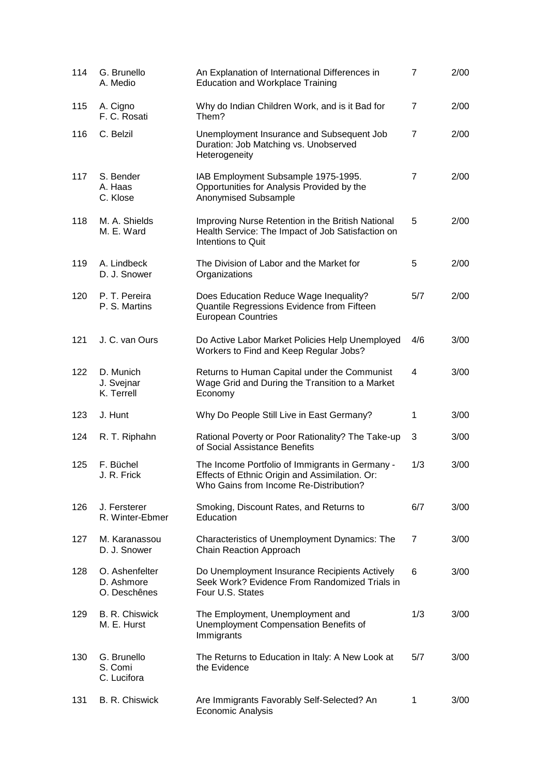| 114 | G. Brunello<br>A. Medio                      | An Explanation of International Differences in<br><b>Education and Workplace Training</b>                                                   | $\overline{7}$ | 2/00 |
|-----|----------------------------------------------|---------------------------------------------------------------------------------------------------------------------------------------------|----------------|------|
| 115 | A. Cigno<br>F. C. Rosati                     | Why do Indian Children Work, and is it Bad for<br>Them?                                                                                     | 7              | 2/00 |
| 116 | C. Belzil                                    | Unemployment Insurance and Subsequent Job<br>Duration: Job Matching vs. Unobserved<br>Heterogeneity                                         | $\overline{7}$ | 2/00 |
| 117 | S. Bender<br>A. Haas<br>C. Klose             | IAB Employment Subsample 1975-1995.<br>Opportunities for Analysis Provided by the<br>Anonymised Subsample                                   | 7              | 2/00 |
| 118 | M. A. Shields<br>M. E. Ward                  | Improving Nurse Retention in the British National<br>Health Service: The Impact of Job Satisfaction on<br>Intentions to Quit                | 5              | 2/00 |
| 119 | A. Lindbeck<br>D. J. Snower                  | The Division of Labor and the Market for<br>Organizations                                                                                   | 5              | 2/00 |
| 120 | P. T. Pereira<br>P. S. Martins               | Does Education Reduce Wage Inequality?<br>Quantile Regressions Evidence from Fifteen<br><b>European Countries</b>                           | 5/7            | 2/00 |
| 121 | J. C. van Ours                               | Do Active Labor Market Policies Help Unemployed<br>Workers to Find and Keep Regular Jobs?                                                   | 4/6            | 3/00 |
| 122 | D. Munich<br>J. Svejnar<br>K. Terrell        | Returns to Human Capital under the Communist<br>Wage Grid and During the Transition to a Market<br>Economy                                  | 4              | 3/00 |
| 123 | J. Hunt                                      | Why Do People Still Live in East Germany?                                                                                                   | 1              | 3/00 |
| 124 | R. T. Riphahn                                | Rational Poverty or Poor Rationality? The Take-up<br>of Social Assistance Benefits                                                          | 3              | 3/00 |
| 125 | F. Büchel<br>J. R. Frick                     | The Income Portfolio of Immigrants in Germany -<br>Effects of Ethnic Origin and Assimilation. Or:<br>Who Gains from Income Re-Distribution? | 1/3            | 3/00 |
| 126 | J. Fersterer<br>R. Winter-Ebmer              | Smoking, Discount Rates, and Returns to<br>Education                                                                                        | 6/7            | 3/00 |
| 127 | M. Karanassou<br>D. J. Snower                | Characteristics of Unemployment Dynamics: The<br>Chain Reaction Approach                                                                    | 7              | 3/00 |
| 128 | O. Ashenfelter<br>D. Ashmore<br>O. Deschênes | Do Unemployment Insurance Recipients Actively<br>Seek Work? Evidence From Randomized Trials in<br>Four U.S. States                          | 6              | 3/00 |
| 129 | B. R. Chiswick<br>M. E. Hurst                | The Employment, Unemployment and<br>Unemployment Compensation Benefits of<br>Immigrants                                                     | 1/3            | 3/00 |
| 130 | G. Brunello<br>S. Comi<br>C. Lucifora        | The Returns to Education in Italy: A New Look at<br>the Evidence                                                                            | 5/7            | 3/00 |
| 131 | B. R. Chiswick                               | Are Immigrants Favorably Self-Selected? An<br>Economic Analysis                                                                             | 1              | 3/00 |